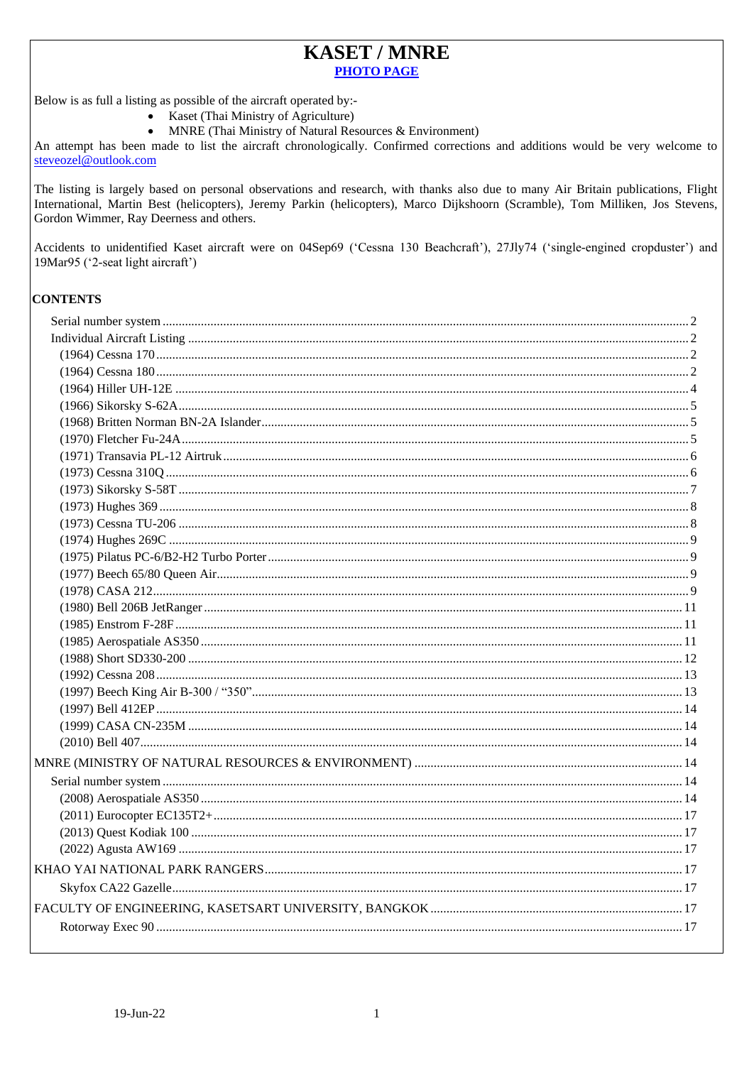## **KASET / MNRE PHOTO PAGE**

Below is as full a listing as possible of the aircraft operated by:-

- Kaset (Thai Ministry of Agriculture)
- MNRE (Thai Ministry of Natural Resources & Environment)

An attempt has been made to list the aircraft chronologically. Confirmed corrections and additions would be very welcome to steveozel@outlook.com

The listing is largely based on personal observations and research, with thanks also due to many Air Britain publications, Flight International, Martin Best (helicopters), Jeremy Parkin (helicopters), Marco Dijkshoorn (Scramble), Tom Milliken, Jos Stevens, Gordon Wimmer, Ray Deerness and others.

Accidents to unidentified Kaset aircraft were on 04Sep69 ('Cessna 130 Beachcraft'), 27Jly74 ('single-engined cropduster') and 19Mar95 ('2-seat light aircraft')

### **CONTENTS**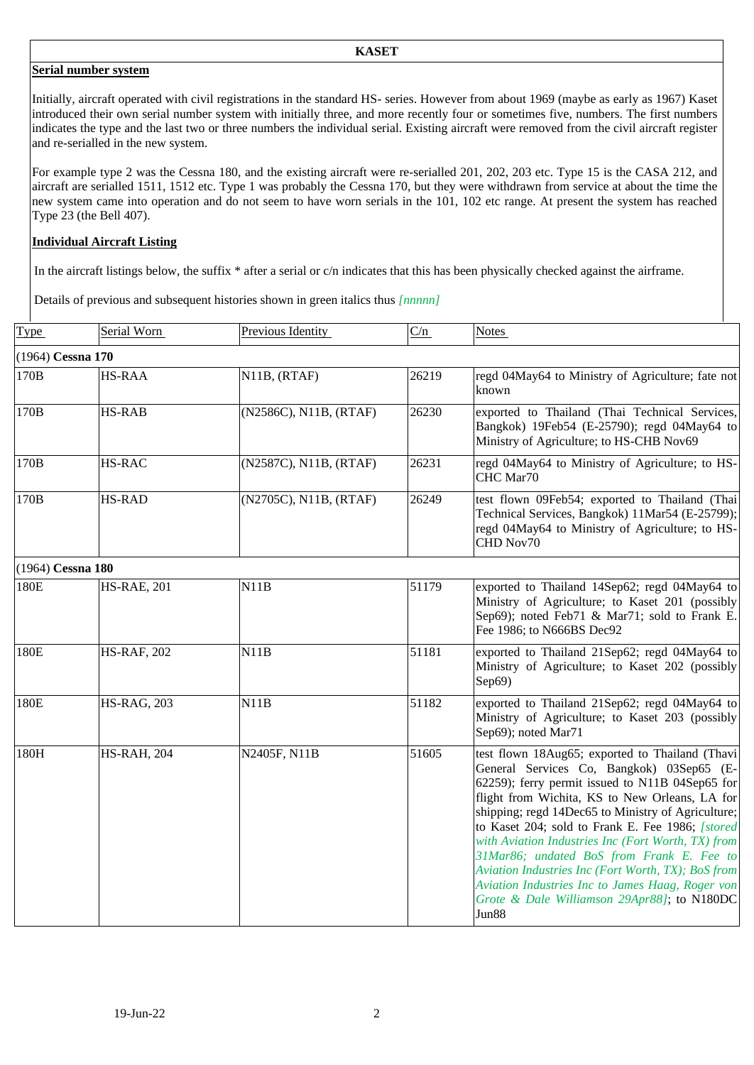#### <span id="page-1-0"></span>**Serial number system**

Initially, aircraft operated with civil registrations in the standard HS- series. However from about 1969 (maybe as early as 1967) Kaset introduced their own serial number system with initially three, and more recently four or sometimes five, numbers. The first numbers indicates the type and the last two or three numbers the individual serial. Existing aircraft were removed from the civil aircraft register and re-serialled in the new system.

For example type 2 was the Cessna 180, and the existing aircraft were re-serialled 201, 202, 203 etc. Type 15 is the CASA 212, and aircraft are serialled 1511, 1512 etc. Type 1 was probably the Cessna 170, but they were withdrawn from service at about the time the new system came into operation and do not seem to have worn serials in the 101, 102 etc range. At present the system has reached Type 23 (the Bell 407).

## <span id="page-1-1"></span>**Individual Aircraft Listing**

In the aircraft listings below, the suffix \* after a serial or c/n indicates that this has been physically checked against the airframe.

Details of previous and subsequent histories shown in green italics thus *[nnnnn]*

<span id="page-1-3"></span><span id="page-1-2"></span>

| Type              | Serial Worn        | Previous Identity      | C/n   | Notes                                                                                                                                                                                                                                                                                                                                                                                                                                                                                                                                                                             |
|-------------------|--------------------|------------------------|-------|-----------------------------------------------------------------------------------------------------------------------------------------------------------------------------------------------------------------------------------------------------------------------------------------------------------------------------------------------------------------------------------------------------------------------------------------------------------------------------------------------------------------------------------------------------------------------------------|
| (1964) Cessna 170 |                    |                        |       |                                                                                                                                                                                                                                                                                                                                                                                                                                                                                                                                                                                   |
| 170B              | <b>HS-RAA</b>      | $N11B$ , $(RTAF)$      | 26219 | regd 04May64 to Ministry of Agriculture; fate not<br>known                                                                                                                                                                                                                                                                                                                                                                                                                                                                                                                        |
| 170B              | <b>HS-RAB</b>      | (N2586C), N11B, (RTAF) | 26230 | exported to Thailand (Thai Technical Services,<br>Bangkok) 19Feb54 (E-25790); regd 04May64 to<br>Ministry of Agriculture; to HS-CHB Nov69                                                                                                                                                                                                                                                                                                                                                                                                                                         |
| 170B              | <b>HS-RAC</b>      | (N2587C), N11B, (RTAF) | 26231 | regd 04May64 to Ministry of Agriculture; to HS-<br>CHC Mar70                                                                                                                                                                                                                                                                                                                                                                                                                                                                                                                      |
| 170B              | <b>HS-RAD</b>      | (N2705C), N11B, (RTAF) | 26249 | test flown 09Feb54; exported to Thailand (Thai<br>Technical Services, Bangkok) 11Mar54 (E-25799);<br>regd 04May64 to Ministry of Agriculture; to HS-<br>CHD Nov70                                                                                                                                                                                                                                                                                                                                                                                                                 |
| (1964) Cessna 180 |                    |                        |       |                                                                                                                                                                                                                                                                                                                                                                                                                                                                                                                                                                                   |
| 180E              | <b>HS-RAE, 201</b> | N11B                   | 51179 | exported to Thailand 14Sep62; regd 04May64 to<br>Ministry of Agriculture; to Kaset 201 (possibly<br>Sep69); noted Feb71 & Mar71; sold to Frank E.<br>Fee 1986; to N666BS Dec92                                                                                                                                                                                                                                                                                                                                                                                                    |
| 180E              | <b>HS-RAF, 202</b> | N11B                   | 51181 | exported to Thailand 21Sep62; regd 04May64 to<br>Ministry of Agriculture; to Kaset 202 (possibly<br>Sep69)                                                                                                                                                                                                                                                                                                                                                                                                                                                                        |
| 180E              | <b>HS-RAG, 203</b> | N11B                   | 51182 | exported to Thailand 21Sep62; regd 04May64 to<br>Ministry of Agriculture; to Kaset 203 (possibly<br>Sep69); noted Mar71                                                                                                                                                                                                                                                                                                                                                                                                                                                           |
| 180H              | <b>HS-RAH, 204</b> | N2405F, N11B           | 51605 | test flown 18Aug65; exported to Thailand (Thavi<br>General Services Co, Bangkok) 03Sep65 (E-<br>62259); ferry permit issued to N11B 04Sep65 for<br>flight from Wichita, KS to New Orleans, LA for<br>shipping; regd 14Dec65 to Ministry of Agriculture;<br>to Kaset 204; sold to Frank E. Fee 1986; [stored]<br>with Aviation Industries Inc (Fort Worth, TX) from<br>31Mar86; undated BoS from Frank E. Fee to<br>Aviation Industries Inc (Fort Worth, TX); BoS from<br>Aviation Industries Inc to James Haag, Roger von<br>Grote & Dale Williamson 29Apr88]; to N180DC<br>Jun88 |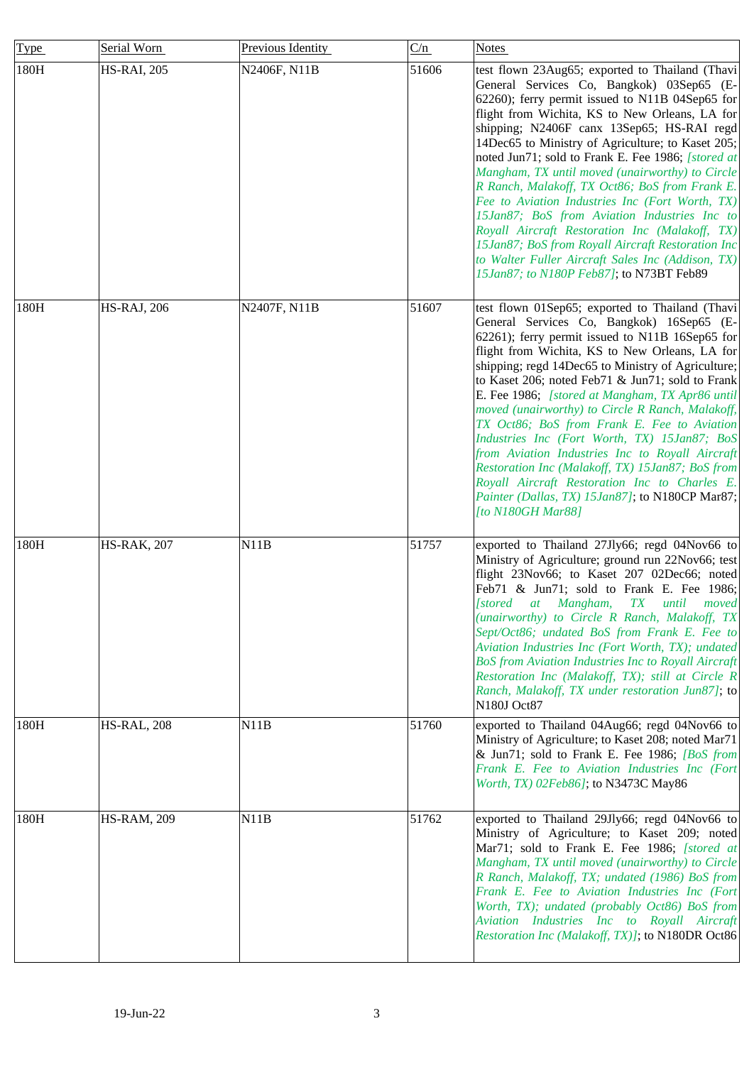| Type | Serial Worn         | Previous Identity | C/n   | <b>Notes</b>                                                                                                                                                                                                                                                                                                                                                                                                                                                                                                                                                                                                                                                                                                                                                               |
|------|---------------------|-------------------|-------|----------------------------------------------------------------------------------------------------------------------------------------------------------------------------------------------------------------------------------------------------------------------------------------------------------------------------------------------------------------------------------------------------------------------------------------------------------------------------------------------------------------------------------------------------------------------------------------------------------------------------------------------------------------------------------------------------------------------------------------------------------------------------|
| 180H | <b>HS-RAI, 205</b>  | N2406F, N11B      | 51606 | test flown 23Aug65; exported to Thailand (Thavi<br>General Services Co, Bangkok) 03Sep65 (E-<br>62260); ferry permit issued to N11B 04Sep65 for<br>flight from Wichita, KS to New Orleans, LA for<br>shipping; N2406F canx 13Sep65; HS-RAI regd<br>14Dec65 to Ministry of Agriculture; to Kaset 205;<br>noted Jun71; sold to Frank E. Fee 1986; [stored at<br>Mangham, TX until moved (unairworthy) to Circle<br>R Ranch, Malakoff, TX Oct86; BoS from Frank E.<br>Fee to Aviation Industries Inc (Fort Worth, TX)<br>15Jan87; BoS from Aviation Industries Inc to<br>Royall Aircraft Restoration Inc (Malakoff, TX)<br>15Jan87; BoS from Royall Aircraft Restoration Inc<br>to Walter Fuller Aircraft Sales Inc (Addison, TX)<br>15Jan87; to N180P Feb87]; to N73BT Feb89 |
| 180H | <b>HS-RAJ</b> , 206 | N2407F, N11B      | 51607 | test flown 01Sep65; exported to Thailand (Thavi<br>General Services Co, Bangkok) 16Sep65 (E-<br>$62261$ ; ferry permit issued to N11B 16Sep65 for<br>flight from Wichita, KS to New Orleans, LA for<br>shipping; regd 14Dec65 to Ministry of Agriculture;<br>to Kaset 206; noted Feb71 & Jun71; sold to Frank<br>E. Fee 1986; [stored at Mangham, TX Apr86 until<br>moved (unairworthy) to Circle R Ranch, Malakoff,<br>TX Oct86; BoS from Frank E. Fee to Aviation<br>Industries Inc (Fort Worth, TX) 15Jan87; BoS<br>from Aviation Industries Inc to Royall Aircraft<br>Restoration Inc (Malakoff, TX) 15Jan87; BoS from<br>Royall Aircraft Restoration Inc to Charles E.<br>Painter (Dallas, TX) 15Jan87]; to N180CP Mar87;<br>[to N180GH Mar88]                        |
| 180H | <b>HS-RAK, 207</b>  | N11B              | 51757 | exported to Thailand 27Jly66; regd 04Nov66 to<br>Ministry of Agriculture; ground run 22Nov66; test<br>flight 23Nov66; to Kaset 207 02Dec66; noted<br>Feb71 & Jun71; sold to Frank E. Fee 1986;<br>[stored at Mangham, TX until moved<br>(unairworthy) to Circle R Ranch, Malakoff, TX<br>Sept/Oct86; undated BoS from Frank E. Fee to<br>Aviation Industries Inc (Fort Worth, TX); undated<br><b>BoS from Aviation Industries Inc to Royall Aircraft</b><br>Restoration Inc (Malakoff, TX); still at Circle R<br>Ranch, Malakoff, TX under restoration Jun87]; to<br>N180J Oct87                                                                                                                                                                                           |
| 180H | <b>HS-RAL, 208</b>  | N11B              | 51760 | exported to Thailand 04Aug66; regd 04Nov66 to<br>Ministry of Agriculture; to Kaset 208; noted Mar71<br>& Jun71; sold to Frank E. Fee 1986; <i>[BoS from</i> ]<br>Frank E. Fee to Aviation Industries Inc (Fort<br>Worth, TX) 02Feb86]; to N3473C May86                                                                                                                                                                                                                                                                                                                                                                                                                                                                                                                     |
| 180H | <b>HS-RAM, 209</b>  | N11B              | 51762 | exported to Thailand 29Jly66; regd 04Nov66 to<br>Ministry of Agriculture; to Kaset 209; noted<br>Mar71; sold to Frank E. Fee 1986; [stored at<br>Mangham, TX until moved (unairworthy) to Circle<br>R Ranch, Malakoff, TX; undated (1986) BoS from<br>Frank E. Fee to Aviation Industries Inc (Fort<br>Worth, TX); undated (probably Oct86) BoS from<br>Aviation Industries Inc to Royall Aircraft<br>Restoration Inc (Malakoff, TX)]; to N180DR Oct86                                                                                                                                                                                                                                                                                                                     |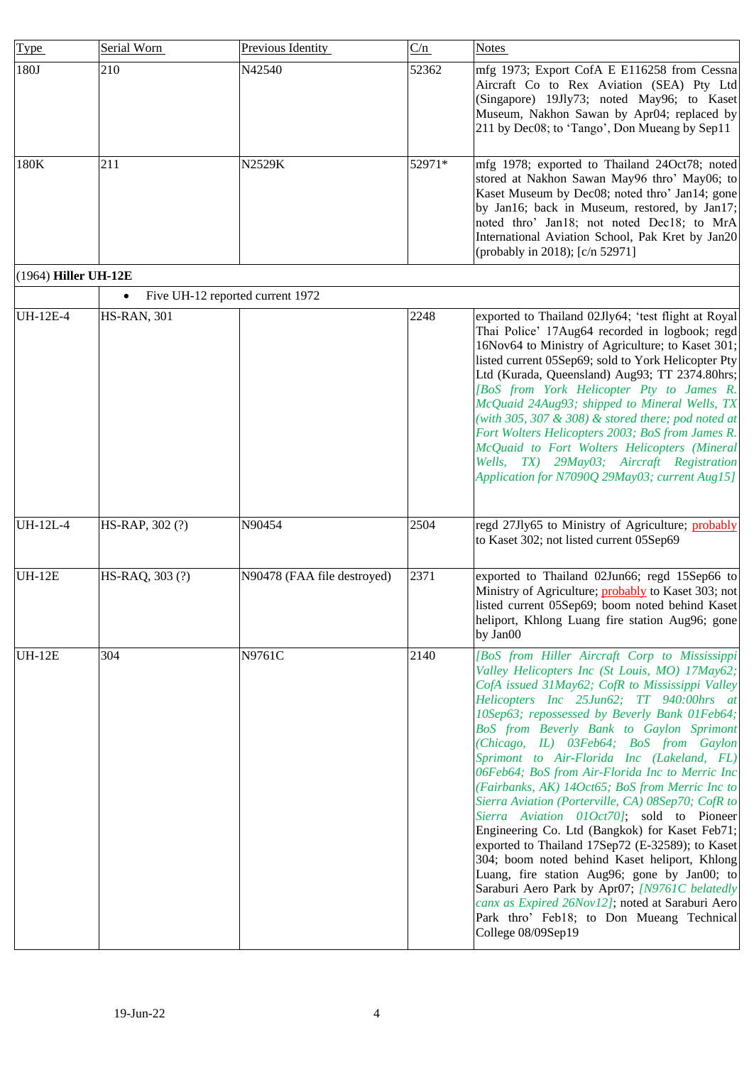<span id="page-3-0"></span>

| Type                 | Serial Worn                                   | Previous Identity           | C/n    | <b>Notes</b>                                                                                                                                                                                                                                                                                                                                                                                                                                                                                                                                                                                                                                                                                                                                                                                                                                                                                                                                                                 |
|----------------------|-----------------------------------------------|-----------------------------|--------|------------------------------------------------------------------------------------------------------------------------------------------------------------------------------------------------------------------------------------------------------------------------------------------------------------------------------------------------------------------------------------------------------------------------------------------------------------------------------------------------------------------------------------------------------------------------------------------------------------------------------------------------------------------------------------------------------------------------------------------------------------------------------------------------------------------------------------------------------------------------------------------------------------------------------------------------------------------------------|
| 180J                 | 210                                           | N42540                      | 52362  | mfg 1973; Export CofA E E116258 from Cessna<br>Aircraft Co to Rex Aviation (SEA) Pty Ltd<br>(Singapore) 19Jly73; noted May96; to Kaset<br>Museum, Nakhon Sawan by Apr04; replaced by<br>211 by Dec08; to 'Tango', Don Mueang by Sep11                                                                                                                                                                                                                                                                                                                                                                                                                                                                                                                                                                                                                                                                                                                                        |
| 180K                 | 211                                           | N2529K                      | 52971* | mfg 1978; exported to Thailand 24Oct78; noted<br>stored at Nakhon Sawan May96 thro' May06; to<br>Kaset Museum by Dec08; noted thro' Jan14; gone<br>by Jan16; back in Museum, restored, by Jan17;<br>noted thro' Jan18; not noted Dec18; to MrA<br>International Aviation School, Pak Kret by Jan20<br>(probably in 2018); [c/n 52971]                                                                                                                                                                                                                                                                                                                                                                                                                                                                                                                                                                                                                                        |
| (1964) Hiller UH-12E |                                               |                             |        |                                                                                                                                                                                                                                                                                                                                                                                                                                                                                                                                                                                                                                                                                                                                                                                                                                                                                                                                                                              |
|                      | Five UH-12 reported current 1972<br>$\bullet$ |                             |        |                                                                                                                                                                                                                                                                                                                                                                                                                                                                                                                                                                                                                                                                                                                                                                                                                                                                                                                                                                              |
| UH-12E-4             | <b>HS-RAN, 301</b>                            |                             | 2248   | exported to Thailand 02Jly64; 'test flight at Royal<br>Thai Police' 17Aug64 recorded in logbook; regd<br>16Nov64 to Ministry of Agriculture; to Kaset 301;<br>listed current 05Sep69; sold to York Helicopter Pty<br>Ltd (Kurada, Queensland) Aug93; TT 2374.80hrs;<br>[BoS from York Helicopter Pty to James R.<br>McQuaid 24Aug93; shipped to Mineral Wells, TX<br>(with 305, 307 $\&$ 308) $\&$ stored there; pod noted at<br>Fort Wolters Helicopters 2003; BoS from James R.<br>McQuaid to Fort Wolters Helicopters (Mineral<br>Wells, TX) 29May03; Aircraft Registration<br>Application for N7090Q 29May03; current Aug15]                                                                                                                                                                                                                                                                                                                                             |
| <b>UH-12L-4</b>      | HS-RAP, 302 (?)                               | N90454                      | 2504   | regd 27Jly65 to Ministry of Agriculture; <i>probably</i><br>to Kaset 302; not listed current 05Sep69                                                                                                                                                                                                                                                                                                                                                                                                                                                                                                                                                                                                                                                                                                                                                                                                                                                                         |
| <b>UH-12E</b>        | HS-RAQ, 303 (?)                               | N90478 (FAA file destroyed) | 2371   | exported to Thailand 02Jun66; regd 15Sep66 to<br>Ministry of Agriculture; <b>probably</b> to Kaset 303; not<br>listed current 05Sep69; boom noted behind Kaset<br>heliport, Khlong Luang fire station Aug96; gone<br>by $Jan00$                                                                                                                                                                                                                                                                                                                                                                                                                                                                                                                                                                                                                                                                                                                                              |
| <b>UH-12E</b>        | 304                                           | N9761C                      | 2140   | [BoS from Hiller Aircraft Corp to Mississippi<br>Valley Helicopters Inc (St Louis, MO) 17May62;<br>CofA issued 31May62; CofR to Mississippi Valley<br>Helicopters Inc 25Jun62; TT 940:00hrs at<br>10Sep63; repossessed by Beverly Bank 01Feb64;<br>BoS from Beverly Bank to Gaylon Sprimont<br>(Chicago, IL) 03Feb64; BoS from Gaylon<br>Sprimont to Air-Florida Inc (Lakeland, FL)<br>06Feb64; BoS from Air-Florida Inc to Merric Inc<br>(Fairbanks, AK) 14Oct65; BoS from Merric Inc to<br>Sierra Aviation (Porterville, CA) 08Sep70; CofR to<br>Sierra Aviation 01Oct70); sold to Pioneer<br>Engineering Co. Ltd (Bangkok) for Kaset Feb71;<br>exported to Thailand 17Sep72 (E-32589); to Kaset<br>304; boom noted behind Kaset heliport, Khlong<br>Luang, fire station Aug96; gone by Jan00; to<br>Saraburi Aero Park by Apr07; [N9761C belatedly<br>canx as Expired 26Nov12]; noted at Saraburi Aero<br>Park thro' Feb18; to Don Mueang Technical<br>College 08/09Sep19 |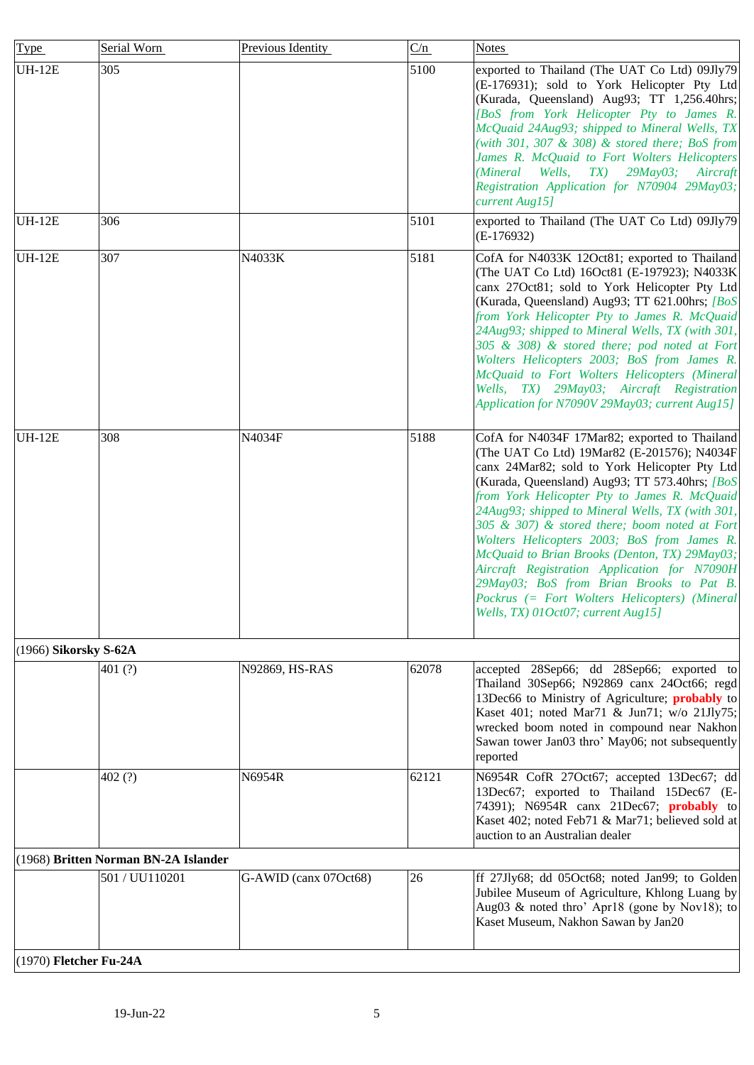<span id="page-4-2"></span><span id="page-4-1"></span><span id="page-4-0"></span>

| Type                   | Serial Worn                          | Previous Identity     | C/n   | <b>Notes</b>                                                                                                                                                                                                                                                                                                                                                                                                                                                                                                                                                                                                                             |
|------------------------|--------------------------------------|-----------------------|-------|------------------------------------------------------------------------------------------------------------------------------------------------------------------------------------------------------------------------------------------------------------------------------------------------------------------------------------------------------------------------------------------------------------------------------------------------------------------------------------------------------------------------------------------------------------------------------------------------------------------------------------------|
| <b>UH-12E</b>          | 305                                  |                       | 5100  | exported to Thailand (The UAT Co Ltd) 09Jly79<br>(E-176931); sold to York Helicopter Pty Ltd<br>(Kurada, Queensland) Aug93; TT 1,256.40hrs;<br>[BoS from York Helicopter Pty to James R.<br>McQuaid 24Aug93; shipped to Mineral Wells, TX<br>(with 301, 307 $\&$ 308) $\&$ stored there; BoS from<br>James R. McQuaid to Fort Wolters Helicopters<br>29May03; Aircraft<br>(Mineral Wells,<br>$TX$ )<br>Registration Application for N70904 29May03;<br>current Aug15]                                                                                                                                                                    |
| <b>UH-12E</b>          | 306                                  |                       | 5101  | exported to Thailand (The UAT Co Ltd) 09Jly79<br>$(E-176932)$                                                                                                                                                                                                                                                                                                                                                                                                                                                                                                                                                                            |
| <b>UH-12E</b>          | 307                                  | N4033K                | 5181  | CofA for N4033K 12Oct81; exported to Thailand<br>(The UAT Co Ltd) 16Oct81 (E-197923); N4033K<br>canx 27Oct81; sold to York Helicopter Pty Ltd<br>(Kurada, Queensland) Aug93; TT 621.00hrs; [BoS]<br>from York Helicopter Pty to James R. McQuaid<br>24Aug93; shipped to Mineral Wells, TX (with 301,<br>305 & 308) & stored there; pod noted at Fort<br>Wolters Helicopters 2003; BoS from James R.<br>McQuaid to Fort Wolters Helicopters (Mineral<br>Wells, TX) 29May03; Aircraft Registration<br>Application for N7090V 29May03; current Aug15]                                                                                       |
| <b>UH-12E</b>          | 308                                  | N4034F                | 5188  | CofA for N4034F 17Mar82; exported to Thailand<br>(The UAT Co Ltd) 19Mar82 (E-201576); N4034F<br>canx 24Mar82; sold to York Helicopter Pty Ltd<br>(Kurada, Queensland) Aug93; TT 573.40hrs; [BoS]<br>from York Helicopter Pty to James R. McQuaid<br>24Aug93; shipped to Mineral Wells, TX (with 301,<br>305 & 307) & stored there; boom noted at Fort<br>Wolters Helicopters 2003; BoS from James R.<br>McQuaid to Brian Brooks (Denton, TX) 29May03;<br>Aircraft Registration Application for N7090H<br>29May03; BoS from Brian Brooks to Pat B.<br>Pockrus (= Fort Wolters Helicopters) (Mineral<br>Wells, TX) 01Oct07; current Aug15] |
| (1966) Sikorsky S-62A  | 401 $(?)$                            | N92869, HS-RAS        | 62078 | accepted 28Sep66; dd 28Sep66; exported to<br>Thailand 30Sep66; N92869 canx 24Oct66; regd<br>13Dec66 to Ministry of Agriculture; probably to<br>Kaset 401; noted Mar71 & Jun71; w/o 21Jly75;<br>wrecked boom noted in compound near Nakhon<br>Sawan tower Jan03 thro' May06; not subsequently<br>reported                                                                                                                                                                                                                                                                                                                                 |
|                        | 402(?)                               | N6954R                | 62121 | N6954R CofR 27Oct67; accepted 13Dec67; dd<br>13Dec67; exported to Thailand 15Dec67 (E-<br>74391); N6954R canx 21Dec67; probably to<br>Kaset 402; noted Feb71 & Mar71; believed sold at<br>auction to an Australian dealer                                                                                                                                                                                                                                                                                                                                                                                                                |
|                        | (1968) Britten Norman BN-2A Islander |                       |       |                                                                                                                                                                                                                                                                                                                                                                                                                                                                                                                                                                                                                                          |
|                        | 501 / UU110201                       | G-AWID (canx 07Oct68) | 26    | ff 27Jly68; dd 05Oct68; noted Jan99; to Golden<br>Jubilee Museum of Agriculture, Khlong Luang by<br>Aug03 & noted thro' Apr18 (gone by Nov18); to<br>Kaset Museum, Nakhon Sawan by Jan20                                                                                                                                                                                                                                                                                                                                                                                                                                                 |
| (1970) Fletcher Fu-24A |                                      |                       |       |                                                                                                                                                                                                                                                                                                                                                                                                                                                                                                                                                                                                                                          |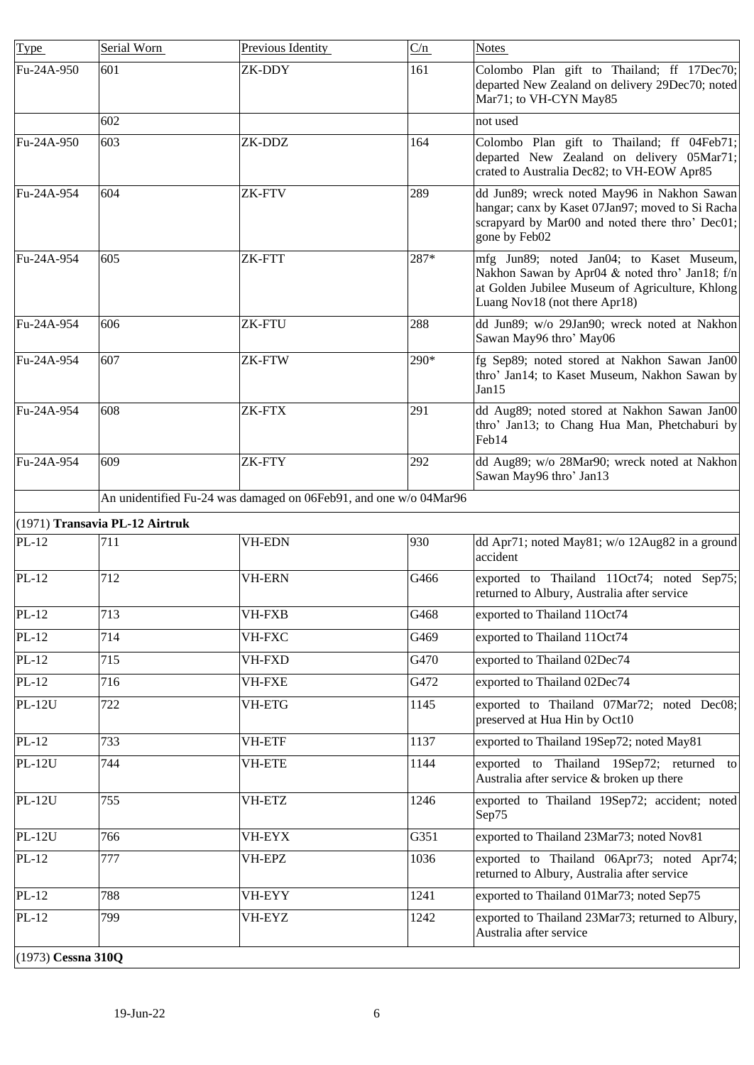<span id="page-5-1"></span><span id="page-5-0"></span>

| <b>Type</b>        | Serial Worn                    | Previous Identity                                                 | C/n  | <b>Notes</b>                                                                                                                                                                   |
|--------------------|--------------------------------|-------------------------------------------------------------------|------|--------------------------------------------------------------------------------------------------------------------------------------------------------------------------------|
| Fu-24A-950         | 601                            | ZK-DDY                                                            | 161  | Colombo Plan gift to Thailand; ff 17Dec70;<br>departed New Zealand on delivery 29Dec70; noted<br>Mar71; to VH-CYN May85                                                        |
|                    | 602                            |                                                                   |      | not used                                                                                                                                                                       |
| Fu-24A-950         | 603                            | ZK-DDZ                                                            | 164  | Colombo Plan gift to Thailand; ff 04Feb71;<br>departed New Zealand on delivery 05Mar71;<br>crated to Australia Dec82; to VH-EOW Apr85                                          |
| Fu-24A-954         | 604                            | <b>ZK-FTV</b>                                                     | 289  | dd Jun89; wreck noted May96 in Nakhon Sawan<br>hangar; canx by Kaset 07Jan97; moved to Si Racha<br>scrapyard by Mar00 and noted there thro' Dec01;<br>gone by Feb02            |
| Fu-24A-954         | 605                            | ZK-FTT                                                            | 287* | mfg Jun89; noted Jan04; to Kaset Museum,<br>Nakhon Sawan by Apr04 & noted thro' Jan18; f/n<br>at Golden Jubilee Museum of Agriculture, Khlong<br>Luang Nov18 (not there Apr18) |
| Fu-24A-954         | 606                            | ZK-FTU                                                            | 288  | dd Jun89; w/o 29Jan90; wreck noted at Nakhon<br>Sawan May96 thro' May06                                                                                                        |
| Fu-24A-954         | 607                            | ZK-FTW                                                            | 290* | fg Sep89; noted stored at Nakhon Sawan Jan00<br>thro' Jan14; to Kaset Museum, Nakhon Sawan by<br>Jan15                                                                         |
| Fu-24A-954         | 608                            | ZK-FTX                                                            | 291  | dd Aug89; noted stored at Nakhon Sawan Jan00<br>thro' Jan13; to Chang Hua Man, Phetchaburi by<br>Feb14                                                                         |
| Fu-24A-954         | 609                            | ZK-FTY                                                            | 292  | dd Aug89; w/o 28Mar90; wreck noted at Nakhon<br>Sawan May96 thro' Jan13                                                                                                        |
|                    |                                | An unidentified Fu-24 was damaged on 06Feb91, and one w/o 04Mar96 |      |                                                                                                                                                                                |
|                    | (1971) Transavia PL-12 Airtruk |                                                                   |      |                                                                                                                                                                                |
| PL-12              | 711                            | <b>VH-EDN</b>                                                     | 930  | dd Apr71; noted May81; w/o 12Aug82 in a ground<br>accident                                                                                                                     |
| $PL-12$            | 712                            | <b>VH-ERN</b>                                                     | G466 | exported to Thailand 11Oct74; noted Sep75;<br>returned to Albury, Australia after service                                                                                      |
| $PL-12$            | 713                            | <b>VH-FXB</b>                                                     | G468 | exported to Thailand 11Oct74                                                                                                                                                   |
| $PL-12$            | 714                            | VH-FXC                                                            | G469 | exported to Thailand 11Oct74                                                                                                                                                   |
| $PL-12$            | 715                            | <b>VH-FXD</b>                                                     | G470 | exported to Thailand 02Dec74                                                                                                                                                   |
| $PL-12$            | 716                            | <b>VH-FXE</b>                                                     | G472 | exported to Thailand 02Dec74                                                                                                                                                   |
| <b>PL-12U</b>      | 722                            | <b>VH-ETG</b>                                                     | 1145 | exported to Thailand 07Mar72; noted Dec08;<br>preserved at Hua Hin by Oct10                                                                                                    |
| $PL-12$            | 733                            | <b>VH-ETF</b>                                                     | 1137 | exported to Thailand 19Sep72; noted May81                                                                                                                                      |
| <b>PL-12U</b>      | 744                            | <b>VH-ETE</b>                                                     | 1144 | exported to Thailand 19Sep72; returned to<br>Australia after service & broken up there                                                                                         |
| <b>PL-12U</b>      | 755                            | VH-ETZ                                                            | 1246 | exported to Thailand 19Sep72; accident; noted<br>Sep75                                                                                                                         |
| <b>PL-12U</b>      | 766                            | VH-EYX                                                            | G351 | exported to Thailand 23Mar73; noted Nov81                                                                                                                                      |
| $PL-12$            | 777                            | VH-EPZ                                                            | 1036 | exported to Thailand 06Apr73; noted Apr74;<br>returned to Albury, Australia after service                                                                                      |
| $PL-12$            | 788                            | VH-EYY                                                            | 1241 | exported to Thailand 01Mar73; noted Sep75                                                                                                                                      |
| $PL-12$            | 799                            | VH-EYZ                                                            | 1242 | exported to Thailand 23Mar73; returned to Albury,<br>Australia after service                                                                                                   |
| (1973) Cessna 310Q |                                |                                                                   |      |                                                                                                                                                                                |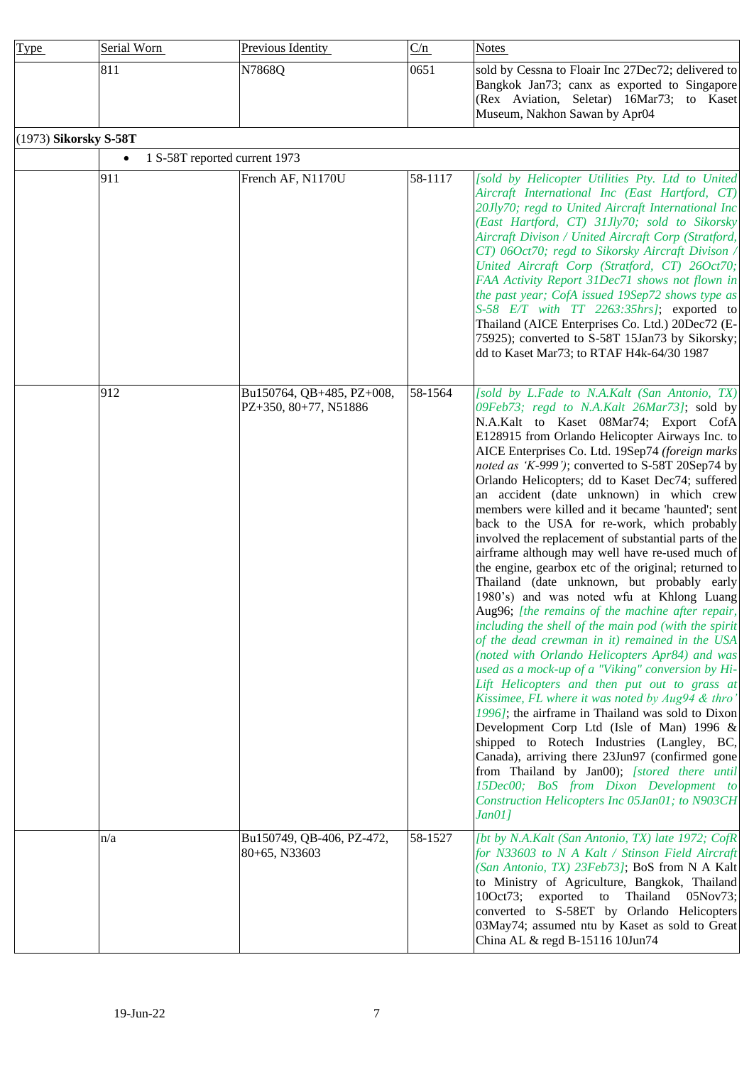| <b>Type</b> | Serial Worn | <b>Previous Identity</b> | C/n  | <b>Notes</b>                                                                                                                                                                     |
|-------------|-------------|--------------------------|------|----------------------------------------------------------------------------------------------------------------------------------------------------------------------------------|
|             | 811         | N78680                   | 0651 | sold by Cessna to Floair Inc 27Dec72; delivered to<br>Bangkok Jan73; canx as exported to Singapore<br>(Rex Aviation, Seletar) 16Mar73; to Kaset<br>Museum, Nakhon Sawan by Apr04 |

# <span id="page-6-0"></span>(1973) **Sikorsky S-58T**

| (1973) SIKOTSKY S-381 | 1 S-58T reported current 1973<br>$\bullet$ |                                                    |         |                                                                                                                                                                                                                                                                                                                                                                                                                                                                                                                                                                                                                                                                                                                                                                                                                                                                                                                                                                                                                                                                                                                                                                                                                                                                                                                                                                                                                                                                                                              |
|-----------------------|--------------------------------------------|----------------------------------------------------|---------|--------------------------------------------------------------------------------------------------------------------------------------------------------------------------------------------------------------------------------------------------------------------------------------------------------------------------------------------------------------------------------------------------------------------------------------------------------------------------------------------------------------------------------------------------------------------------------------------------------------------------------------------------------------------------------------------------------------------------------------------------------------------------------------------------------------------------------------------------------------------------------------------------------------------------------------------------------------------------------------------------------------------------------------------------------------------------------------------------------------------------------------------------------------------------------------------------------------------------------------------------------------------------------------------------------------------------------------------------------------------------------------------------------------------------------------------------------------------------------------------------------------|
|                       | 911                                        | French AF, N1170U                                  | 58-1117 | [sold by Helicopter Utilities Pty. Ltd to United<br>Aircraft International Inc (East Hartford, CT)<br>20Jly70; regd to United Aircraft International Inc<br>(East Hartford, CT) 31Jly70; sold to Sikorsky<br>Aircraft Divison / United Aircraft Corp (Stratford,<br>CT) 06Oct70; regd to Sikorsky Aircraft Divison /<br>United Aircraft Corp (Stratford, CT) 26Oct70;<br>FAA Activity Report 31Dec71 shows not flown in<br>the past year; CofA issued 19Sep72 shows type as<br>S-58 E/T with TT 2263:35hrs]; exported to<br>Thailand (AICE Enterprises Co. Ltd.) 20Dec72 (E-<br>75925); converted to S-58T 15Jan73 by Sikorsky;<br>dd to Kaset Mar73; to RTAF H4k-64/30 1987                                                                                                                                                                                                                                                                                                                                                                                                                                                                                                                                                                                                                                                                                                                                                                                                                                 |
|                       | 912                                        | Bu150764, QB+485, PZ+008,<br>PZ+350, 80+77, N51886 | 58-1564 | [sold by L.Fade to N.A.Kalt (San Antonio, TX)<br>09Feb73; regd to N.A.Kalt 26Mar73]; sold by<br>N.A.Kalt to Kaset 08Mar74; Export CofA<br>E128915 from Orlando Helicopter Airways Inc. to<br>AICE Enterprises Co. Ltd. 19Sep74 (foreign marks)<br>noted as 'K-999'); converted to S-58T 20Sep74 by<br>Orlando Helicopters; dd to Kaset Dec74; suffered<br>an accident (date unknown) in which crew<br>members were killed and it became 'haunted'; sent<br>back to the USA for re-work, which probably<br>involved the replacement of substantial parts of the<br>airframe although may well have re-used much of<br>the engine, gearbox etc of the original; returned to<br>Thailand (date unknown, but probably early<br>1980's) and was noted wfu at Khlong Luang<br>Aug96; [the remains of the machine after repair,]<br>including the shell of the main pod (with the spirit<br>of the dead crewman in it) remained in the USA<br>(noted with Orlando Helicopters Apr84) and was<br>used as a mock-up of a "Viking" conversion by Hi-<br>Lift Helicopters and then put out to grass at<br>Kissimee, FL where it was noted by Aug94 & thro'<br>1996]; the airframe in Thailand was sold to Dixon<br>Development Corp Ltd (Isle of Man) 1996 $\&$<br>shipped to Rotech Industries (Langley, BC,<br>Canada), arriving there 23Jun97 (confirmed gone<br>from Thailand by Jan00); [stored there until<br>15Dec00; BoS from Dixon Development to<br>Construction Helicopters Inc 05Jan01; to N903CH<br>Jan011 |
|                       | n/a                                        | Bu150749, QB-406, PZ-472,<br>80+65, N33603         | 58-1527 | [bt by N.A.Kalt (San Antonio, TX) late 1972; CofR<br>for N33603 to N A Kalt / Stinson Field Aircraft<br>(San Antonio, TX) 23Feb73]; BoS from N A Kalt<br>to Ministry of Agriculture, Bangkok, Thailand<br>10Oct73; exported to Thailand 05Nov73;<br>converted to S-58ET by Orlando Helicopters<br>03May74; assumed ntu by Kaset as sold to Great<br>China AL & regd B-15116 10Jun74                                                                                                                                                                                                                                                                                                                                                                                                                                                                                                                                                                                                                                                                                                                                                                                                                                                                                                                                                                                                                                                                                                                          |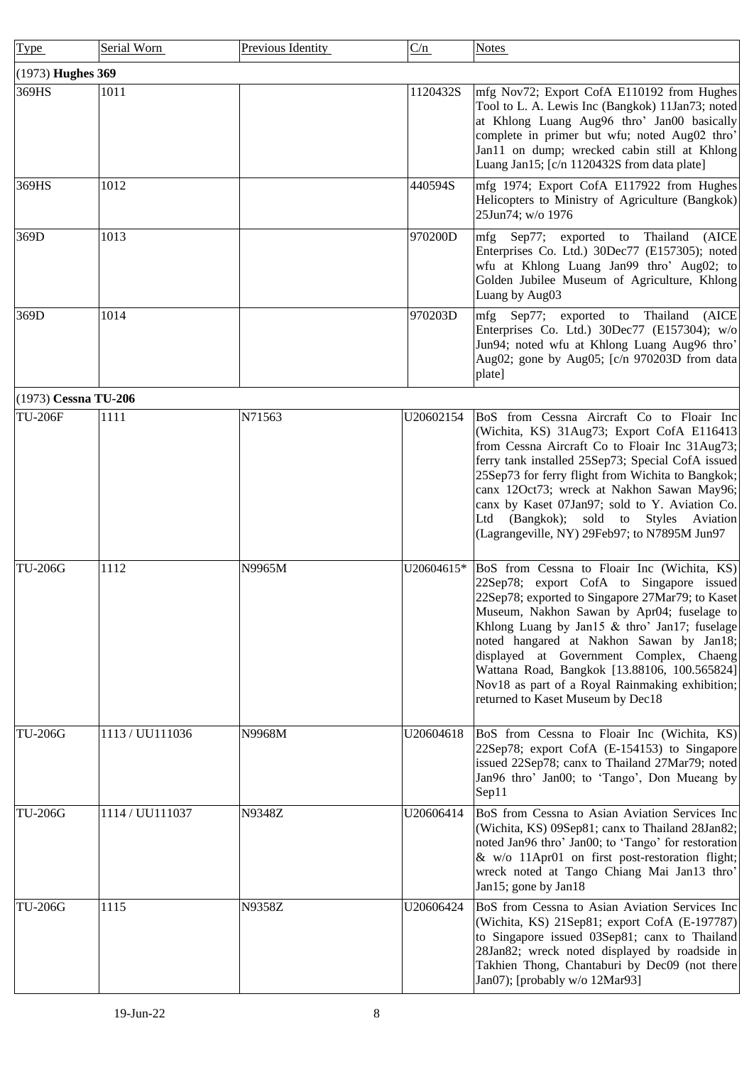<span id="page-7-1"></span><span id="page-7-0"></span>

| Type                 | Serial Worn     | Previous Identity | C/n        | <b>Notes</b>                                                                                                                                                                                                                                                                                                                                                                                                                                                              |
|----------------------|-----------------|-------------------|------------|---------------------------------------------------------------------------------------------------------------------------------------------------------------------------------------------------------------------------------------------------------------------------------------------------------------------------------------------------------------------------------------------------------------------------------------------------------------------------|
| (1973) Hughes 369    |                 |                   |            |                                                                                                                                                                                                                                                                                                                                                                                                                                                                           |
| 369HS                | 1011            |                   | 1120432S   | mfg Nov72; Export CofA E110192 from Hughes<br>Tool to L. A. Lewis Inc (Bangkok) 11Jan73; noted<br>at Khlong Luang Aug96 thro' Jan00 basically<br>complete in primer but wfu; noted Aug02 thro'<br>Jan11 on dump; wrecked cabin still at Khlong<br>Luang Jan15; [c/n 1120432S from data plate]                                                                                                                                                                             |
| 369HS                | 1012            |                   | 440594S    | mfg 1974; Export CofA E117922 from Hughes<br>Helicopters to Ministry of Agriculture (Bangkok)<br>25Jun74; w/o 1976                                                                                                                                                                                                                                                                                                                                                        |
| 369D                 | 1013            |                   | 970200D    | mfg Sep77; exported to Thailand (AICE<br>Enterprises Co. Ltd.) 30Dec77 (E157305); noted<br>wfu at Khlong Luang Jan99 thro' Aug02; to<br>Golden Jubilee Museum of Agriculture, Khlong<br>Luang by Aug03                                                                                                                                                                                                                                                                    |
| 369D                 | 1014            |                   | 970203D    | mfg Sep77; exported to Thailand (AICE<br>Enterprises Co. Ltd.) 30Dec77 (E157304); w/o<br>Jun94; noted wfu at Khlong Luang Aug96 thro'<br>Aug02; gone by Aug05; [c/n 970203D from data<br>plate]                                                                                                                                                                                                                                                                           |
| (1973) Cessna TU-206 |                 |                   |            |                                                                                                                                                                                                                                                                                                                                                                                                                                                                           |
| <b>TU-206F</b>       | 1111            | N71563            | U20602154  | BoS from Cessna Aircraft Co to Floair Inc<br>(Wichita, KS) 31Aug73; Export CofA E116413<br>from Cessna Aircraft Co to Floair Inc 31Aug73;<br>ferry tank installed 25Sep73; Special CofA issued<br>25Sep73 for ferry flight from Wichita to Bangkok;<br>canx 12Oct73; wreck at Nakhon Sawan May96;<br>canx by Kaset 07Jan97; sold to Y. Aviation Co.<br>Ltd (Bangkok); sold to Styles Aviation<br>(Lagrangeville, NY) 29Feb97; to N7895M Jun97                             |
| <b>TU-206G</b>       | 1112            | N9965M            | U20604615* | BoS from Cessna to Floair Inc (Wichita, KS)<br>22Sep78; export CofA to Singapore issued<br>22Sep78; exported to Singapore 27Mar79; to Kaset<br>Museum, Nakhon Sawan by Apr04; fuselage to<br>Khlong Luang by Jan15 & thro' Jan17; fuselage<br>noted hangared at Nakhon Sawan by Jan18;<br>displayed at Government Complex, Chaeng<br>Wattana Road, Bangkok [13.88106, 100.565824]<br>Nov18 as part of a Royal Rainmaking exhibition;<br>returned to Kaset Museum by Dec18 |
| <b>TU-206G</b>       | 1113 / UU111036 | N9968M            | U20604618  | BoS from Cessna to Floair Inc (Wichita, KS)<br>22Sep78; export CofA (E-154153) to Singapore<br>issued 22Sep78; canx to Thailand 27Mar79; noted<br>Jan96 thro' Jan00; to 'Tango', Don Mueang by<br>Sep11                                                                                                                                                                                                                                                                   |
| <b>TU-206G</b>       | 1114 / UU111037 | N9348Z            | U20606414  | BoS from Cessna to Asian Aviation Services Inc<br>(Wichita, KS) 09Sep81; canx to Thailand 28Jan82;<br>noted Jan96 thro' Jan00; to 'Tango' for restoration<br>& w/o 11Apr01 on first post-restoration flight;<br>wreck noted at Tango Chiang Mai Jan13 thro'<br>Jan15; gone by Jan18                                                                                                                                                                                       |
| <b>TU-206G</b>       | 1115            | N9358Z            | U20606424  | BoS from Cessna to Asian Aviation Services Inc<br>(Wichita, KS) 21Sep81; export CofA (E-197787)<br>to Singapore issued 03Sep81; canx to Thailand<br>28Jan82; wreck noted displayed by roadside in<br>Takhien Thong, Chantaburi by Dec09 (not there<br>Jan07); [probably w/o 12Mar93]                                                                                                                                                                                      |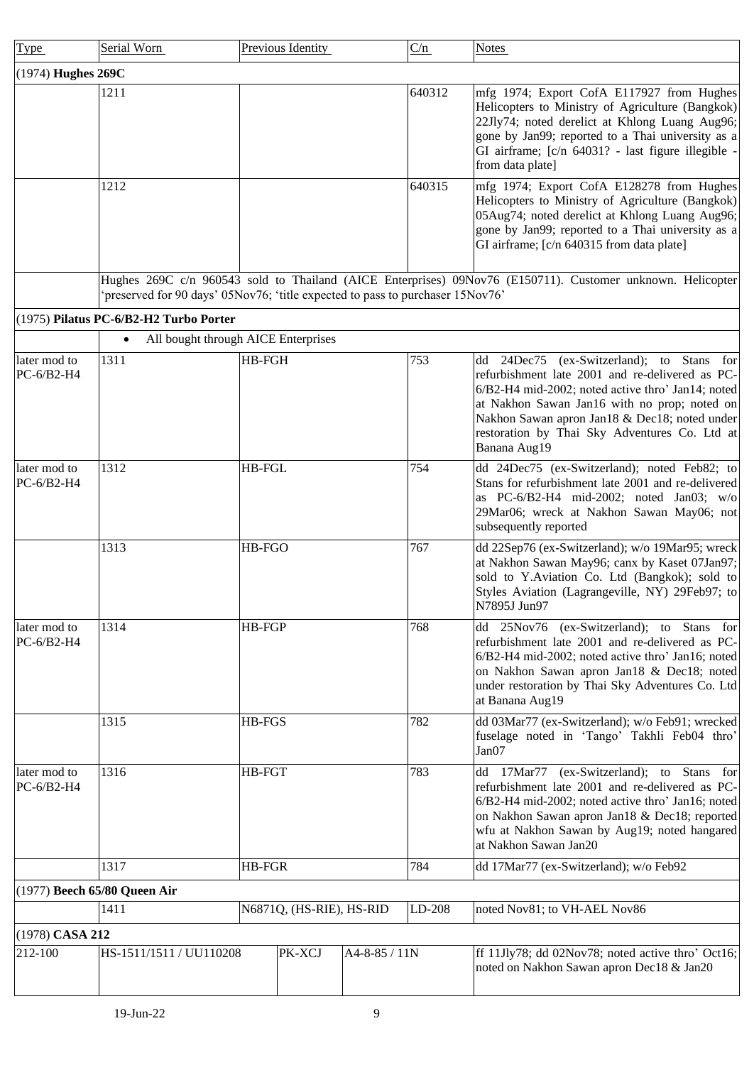<span id="page-8-3"></span><span id="page-8-2"></span><span id="page-8-1"></span><span id="page-8-0"></span>

| Type                         | Serial Worn                                                                    | Previous Identity        |               | C/n    | <b>Notes</b>                                                                                                                                                                                                                                                                                                           |
|------------------------------|--------------------------------------------------------------------------------|--------------------------|---------------|--------|------------------------------------------------------------------------------------------------------------------------------------------------------------------------------------------------------------------------------------------------------------------------------------------------------------------------|
| (1974) Hughes 269C           |                                                                                |                          |               |        |                                                                                                                                                                                                                                                                                                                        |
|                              | 1211                                                                           |                          |               | 640312 | mfg 1974; Export CofA E117927 from Hughes<br>Helicopters to Ministry of Agriculture (Bangkok)<br>22Jly74; noted derelict at Khlong Luang Aug96;<br>gone by Jan99; reported to a Thai university as a<br>GI airframe; [c/n 64031? - last figure illegible -<br>from data plate]                                         |
|                              | 1212                                                                           |                          |               | 640315 | mfg 1974; Export CofA E128278 from Hughes<br>Helicopters to Ministry of Agriculture (Bangkok)<br>05Aug74; noted derelict at Khlong Luang Aug96;<br>gone by Jan99; reported to a Thai university as a<br>GI airframe; [c/n 640315 from data plate]                                                                      |
|                              | 'preserved for 90 days' 05Nov76; 'title expected to pass to purchaser 15Nov76' |                          |               |        | Hughes 269C c/n 960543 sold to Thailand (AICE Enterprises) 09Nov76 (E150711). Customer unknown. Helicopter                                                                                                                                                                                                             |
|                              | (1975) Pilatus PC-6/B2-H2 Turbo Porter                                         |                          |               |        |                                                                                                                                                                                                                                                                                                                        |
|                              | All bought through AICE Enterprises<br>$\bullet$                               |                          |               |        |                                                                                                                                                                                                                                                                                                                        |
| later mod to<br>PC-6/B2-H4   | 1311                                                                           | HB-FGH                   |               | 753    | dd 24Dec75 (ex-Switzerland); to Stans<br>for<br>refurbishment late 2001 and re-delivered as PC-<br>6/B2-H4 mid-2002; noted active thro' Jan14; noted<br>at Nakhon Sawan Jan16 with no prop; noted on<br>Nakhon Sawan apron Jan18 & Dec18; noted under<br>restoration by Thai Sky Adventures Co. Ltd at<br>Banana Aug19 |
| later mod to<br>$PC-6/B2-H4$ | 1312                                                                           | <b>HB-FGL</b>            |               | 754    | dd 24Dec75 (ex-Switzerland); noted Feb82; to<br>Stans for refurbishment late 2001 and re-delivered<br>as PC-6/B2-H4 mid-2002; noted Jan03; $w/o$<br>29Mar06; wreck at Nakhon Sawan May06; not<br>subsequently reported                                                                                                 |
|                              | 1313                                                                           | HB-FGO                   |               | 767    | dd 22Sep76 (ex-Switzerland); w/o 19Mar95; wreck<br>at Nakhon Sawan May96; canx by Kaset 07Jan97;<br>sold to Y.Aviation Co. Ltd (Bangkok); sold to<br>Styles Aviation (Lagrangeville, NY) 29Feb97; to<br>N7895J Jun97                                                                                                   |
| later mod to<br>PC-6/B2-H4   | 1314                                                                           | HB-FGP                   |               | 768    | 25Nov76 (ex-Switzerland); to Stans<br>for<br>dd<br>refurbishment late 2001 and re-delivered as PC-<br>6/B2-H4 mid-2002; noted active thro' Jan16; noted<br>on Nakhon Sawan apron Jan18 & Dec18; noted<br>under restoration by Thai Sky Adventures Co. Ltd<br>at Banana Aug19                                           |
|                              | 1315                                                                           | HB-FGS                   |               | 782    | dd 03Mar77 (ex-Switzerland); w/o Feb91; wrecked<br>fuselage noted in 'Tango' Takhli Feb04 thro'<br>Jan07                                                                                                                                                                                                               |
| later mod to<br>PC-6/B2-H4   | 1316                                                                           | <b>HB-FGT</b>            |               | 783    | 17Mar77<br>(ex-Switzerland); to Stans<br>dd<br>for<br>refurbishment late 2001 and re-delivered as PC-<br>6/B2-H4 mid-2002; noted active thro' Jan16; noted<br>on Nakhon Sawan apron Jan18 & Dec18; reported<br>wfu at Nakhon Sawan by Aug19; noted hangared<br>at Nakhon Sawan Jan20                                   |
|                              | 1317                                                                           | HB-FGR                   |               | 784    | dd 17Mar77 (ex-Switzerland); w/o Feb92                                                                                                                                                                                                                                                                                 |
|                              | (1977) Beech 65/80 Queen Air                                                   |                          |               |        |                                                                                                                                                                                                                                                                                                                        |
|                              | 1411                                                                           | N6871Q, (HS-RIE), HS-RID |               | LD-208 | noted Nov81; to VH-AEL Nov86                                                                                                                                                                                                                                                                                           |
| (1978) CASA 212              |                                                                                |                          |               |        |                                                                                                                                                                                                                                                                                                                        |
| 212-100                      | HS-1511/1511 / UU110208                                                        | PK-XCJ                   | A4-8-85 / 11N |        | If 11Jly78; dd 02Nov78; noted active thro' Oct16;<br>noted on Nakhon Sawan apron Dec18 & Jan20                                                                                                                                                                                                                         |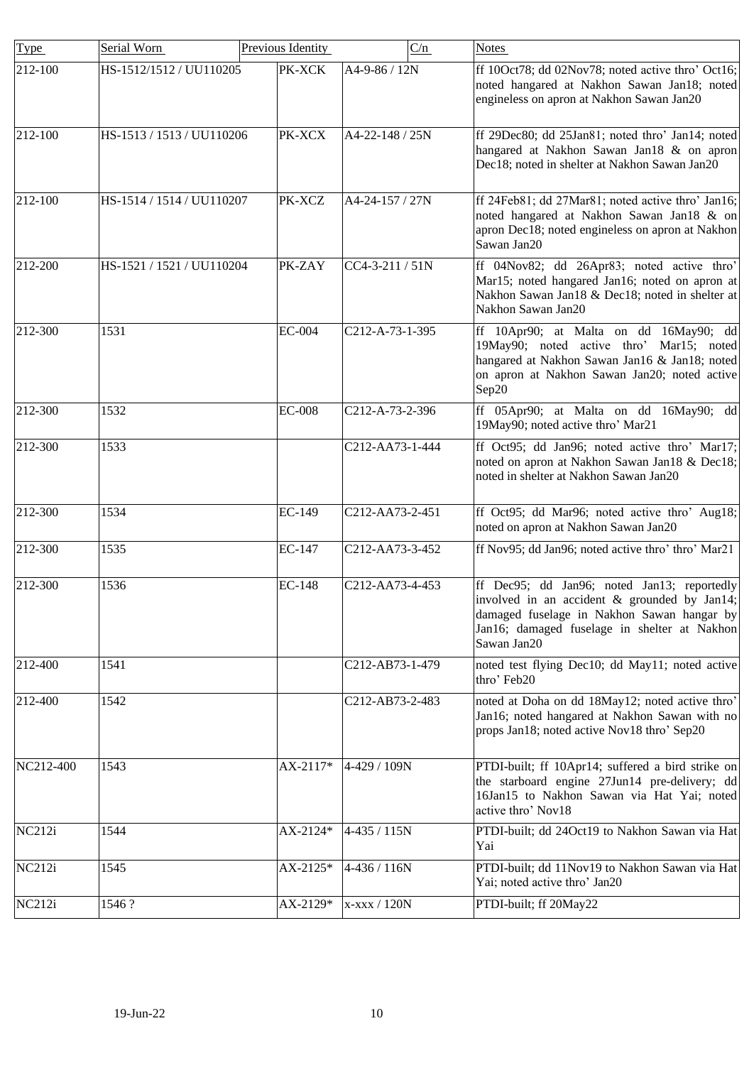| $\overline{\text{Type}}$ | Serial Worn               | Previous Identity | C/n              | <b>Notes</b>                                                                                                                                                                                             |
|--------------------------|---------------------------|-------------------|------------------|----------------------------------------------------------------------------------------------------------------------------------------------------------------------------------------------------------|
| 212-100                  | HS-1512/1512 / UU110205   | PK-XCK            | A4-9-86 / 12N    | ff 10Oct78; dd 02Nov78; noted active thro' Oct16;<br>noted hangared at Nakhon Sawan Jan18; noted<br>engineless on apron at Nakhon Sawan Jan20                                                            |
| 212-100                  | HS-1513 / 1513 / UU110206 | PK-XCX            | A4-22-148 / 25N  | ff 29Dec80; dd 25Jan81; noted thro' Jan14; noted<br>hangared at Nakhon Sawan Jan18 & on apron<br>Dec18; noted in shelter at Nakhon Sawan Jan20                                                           |
| 212-100                  | HS-1514 / 1514 / UU110207 | PK-XCZ            | A4-24-157 / 27N  | ff 24Feb81; dd 27Mar81; noted active thro' Jan16;<br>noted hangared at Nakhon Sawan Jan18 & on<br>apron Dec18; noted engineless on apron at Nakhon<br>Sawan Jan20                                        |
| 212-200                  | HS-1521 / 1521 / UU110204 | PK-ZAY            | CC4-3-211 / 51N  | ff 04Nov82; dd 26Apr83; noted active thro'<br>Mar15; noted hangared Jan16; noted on apron at<br>Nakhon Sawan Jan18 & Dec18; noted in shelter at<br>Nakhon Sawan Jan20                                    |
| 212-300                  | 1531                      | <b>EC-004</b>     | C212-A-73-1-395  | ff 10Apr90; at Malta on dd 16May90; dd<br>19May90; noted active thro' Mar15; noted<br>hangared at Nakhon Sawan Jan16 & Jan18; noted<br>on apron at Nakhon Sawan Jan20; noted active<br>Sep20             |
| 212-300                  | 1532                      | <b>EC-008</b>     | C212-A-73-2-396  | ff 05Apr90; at Malta on dd 16May90; dd<br>19May90; noted active thro' Mar21                                                                                                                              |
| 212-300                  | 1533                      |                   | C212-AA73-1-444  | ff Oct95; dd Jan96; noted active thro' Mar17;<br>noted on apron at Nakhon Sawan Jan18 & Dec18;<br>noted in shelter at Nakhon Sawan Jan20                                                                 |
| 212-300                  | 1534                      | EC-149            | C212-AA73-2-451  | ff Oct95; dd Mar96; noted active thro' Aug18;<br>noted on apron at Nakhon Sawan Jan20                                                                                                                    |
| 212-300                  | 1535                      | EC-147            | C212-AA73-3-452  | ff Nov95; dd Jan96; noted active thro' thro' Mar21                                                                                                                                                       |
| 212-300                  | 1536                      | EC-148            | C212-AA73-4-453  | ff Dec95; dd Jan96; noted Jan13; reportedly<br>involved in an accident & grounded by Jan14;<br>damaged fuselage in Nakhon Sawan hangar by<br>Jan16; damaged fuselage in shelter at Nakhon<br>Sawan Jan20 |
| 212-400                  | 1541                      |                   | C212-AB73-1-479  | noted test flying Dec10; dd May11; noted active<br>thro' Feb20                                                                                                                                           |
| 212-400                  | 1542                      |                   | C212-AB73-2-483  | noted at Doha on dd 18May12; noted active thro'<br>Jan16; noted hangared at Nakhon Sawan with no<br>props Jan18; noted active Nov18 thro' Sep20                                                          |
| NC212-400                | 1543                      | AX-2117*          | 4-429 / 109N     | PTDI-built; ff 10Apr14; suffered a bird strike on<br>the starboard engine 27Jun14 pre-delivery; dd<br>16Jan15 to Nakhon Sawan via Hat Yai; noted<br>active thro' Nov18                                   |
| NC212i                   | 1544                      | AX-2124*          | $4 - 435 / 115N$ | PTDI-built; dd 24Oct19 to Nakhon Sawan via Hat<br>Yai                                                                                                                                                    |
| NC212i                   | 1545                      | AX-2125*          | 4-436 / 116N     | PTDI-built; dd 11Nov19 to Nakhon Sawan via Hat<br>Yai; noted active thro' Jan20                                                                                                                          |
| NC212i                   | 1546?                     | AX-2129*          | x-xxx / 120N     | PTDI-built; ff 20May22                                                                                                                                                                                   |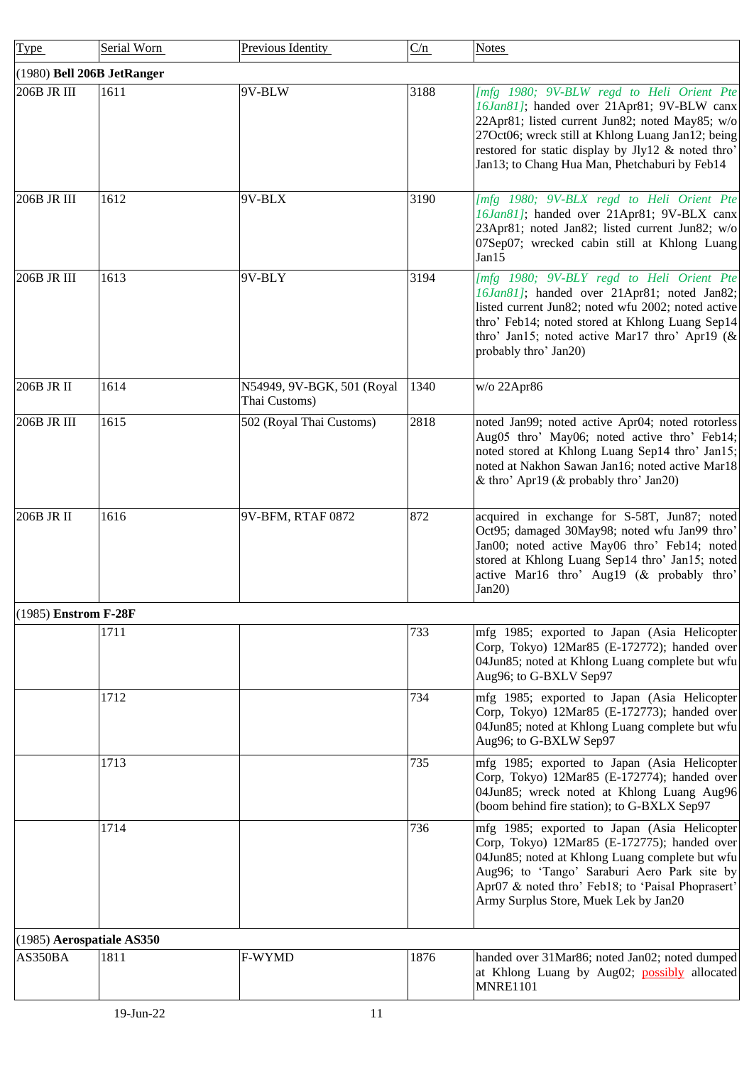<span id="page-10-2"></span><span id="page-10-1"></span><span id="page-10-0"></span>

| Type                       | Serial Worn | Previous Identity                           | C/n  | <b>Notes</b>                                                                                                                                                                                                                                                                                           |
|----------------------------|-------------|---------------------------------------------|------|--------------------------------------------------------------------------------------------------------------------------------------------------------------------------------------------------------------------------------------------------------------------------------------------------------|
| (1980) Bell 206B JetRanger |             |                                             |      |                                                                                                                                                                                                                                                                                                        |
| 206B JR III                | 1611        | 9V-BLW                                      | 3188 | [mfg 1980; 9V-BLW regd to Heli Orient Pte<br>16Jan81]; handed over 21Apr81; 9V-BLW canx<br>22Apr81; listed current Jun82; noted May85; w/o<br>27Oct06; wreck still at Khlong Luang Jan12; being<br>restored for static display by Jly12 & noted thro'<br>Jan13; to Chang Hua Man, Phetchaburi by Feb14 |
| 206B JR III                | 1612        | 9V-BLX                                      | 3190 | [mfg 1980; 9V-BLX regd to Heli Orient Pte<br>16Jan81]; handed over 21Apr81; 9V-BLX canx<br>23Apr81; noted Jan82; listed current Jun82; w/o<br>07Sep07; wrecked cabin still at Khlong Luang<br>Jan15                                                                                                    |
| 206B JR III                | 1613        | 9V-BLY                                      | 3194 | [mfg 1980; 9V-BLY regd to Heli Orient Pte<br>16Jan81]; handed over 21Apr81; noted Jan82;<br>listed current Jun82; noted wfu 2002; noted active<br>thro' Feb14; noted stored at Khlong Luang Sep14<br>thro' Jan15; noted active Mar17 thro' Apr19 (&<br>probably thro' Jan20)                           |
| 206B JR II                 | 1614        | N54949, 9V-BGK, 501 (Royal<br>Thai Customs) | 1340 | w/o 22Apr86                                                                                                                                                                                                                                                                                            |
| 206B JR III                | 1615        | 502 (Royal Thai Customs)                    | 2818 | noted Jan99; noted active Apr04; noted rotorless<br>Aug05 thro' May06; noted active thro' Feb14;<br>noted stored at Khlong Luang Sep14 thro' Jan15;<br>noted at Nakhon Sawan Jan16; noted active Mar18<br>& thro' Apr19 (& probably thro' Jan20)                                                       |
| $206B$ JR $\overline{II}$  | 1616        | 9V-BFM, RTAF 0872                           | 872  | acquired in exchange for S-58T, Jun87; noted<br>Oct95; damaged 30May98; noted wfu Jan99 thro'<br>Jan00; noted active May06 thro' Feb14; noted<br>stored at Khlong Luang Sep14 thro' Jan15; noted<br>active Mar16 thro' Aug19 (& probably thro'<br>Jan20)                                               |
| $(1985)$ Enstrom F-28F     |             |                                             |      |                                                                                                                                                                                                                                                                                                        |
|                            | 1711        |                                             | 733  | mfg 1985; exported to Japan (Asia Helicopter<br>Corp, Tokyo) 12Mar85 (E-172772); handed over<br>04Jun85; noted at Khlong Luang complete but wfu<br>Aug96; to G-BXLV Sep97                                                                                                                              |
|                            | 1712        |                                             | 734  | mfg 1985; exported to Japan (Asia Helicopter<br>Corp, Tokyo) 12Mar85 (E-172773); handed over<br>04Jun85; noted at Khlong Luang complete but wfu<br>Aug96; to G-BXLW Sep97                                                                                                                              |
|                            | 1713        |                                             | 735  | mfg 1985; exported to Japan (Asia Helicopter<br>Corp, Tokyo) 12Mar85 (E-172774); handed over<br>04Jun85; wreck noted at Khlong Luang Aug96<br>(boom behind fire station); to G-BXLX Sep97                                                                                                              |
|                            | 1714        |                                             | 736  | mfg 1985; exported to Japan (Asia Helicopter<br>Corp, Tokyo) 12Mar85 (E-172775); handed over<br>04Jun85; noted at Khlong Luang complete but wfu<br>Aug96; to 'Tango' Saraburi Aero Park site by<br>Apr07 & noted thro' Feb18; to 'Paisal Phoprasert'<br>Army Surplus Store, Muek Lek by Jan20          |
| (1985) Aerospatiale AS350  |             |                                             |      |                                                                                                                                                                                                                                                                                                        |
| AS350BA                    | 1811        | F-WYMD                                      | 1876 | handed over 31Mar86; noted Jan02; noted dumped<br>at Khlong Luang by Aug02; possibly allocated<br><b>MNRE1101</b>                                                                                                                                                                                      |
|                            | 19-Jun-22   | 11                                          |      |                                                                                                                                                                                                                                                                                                        |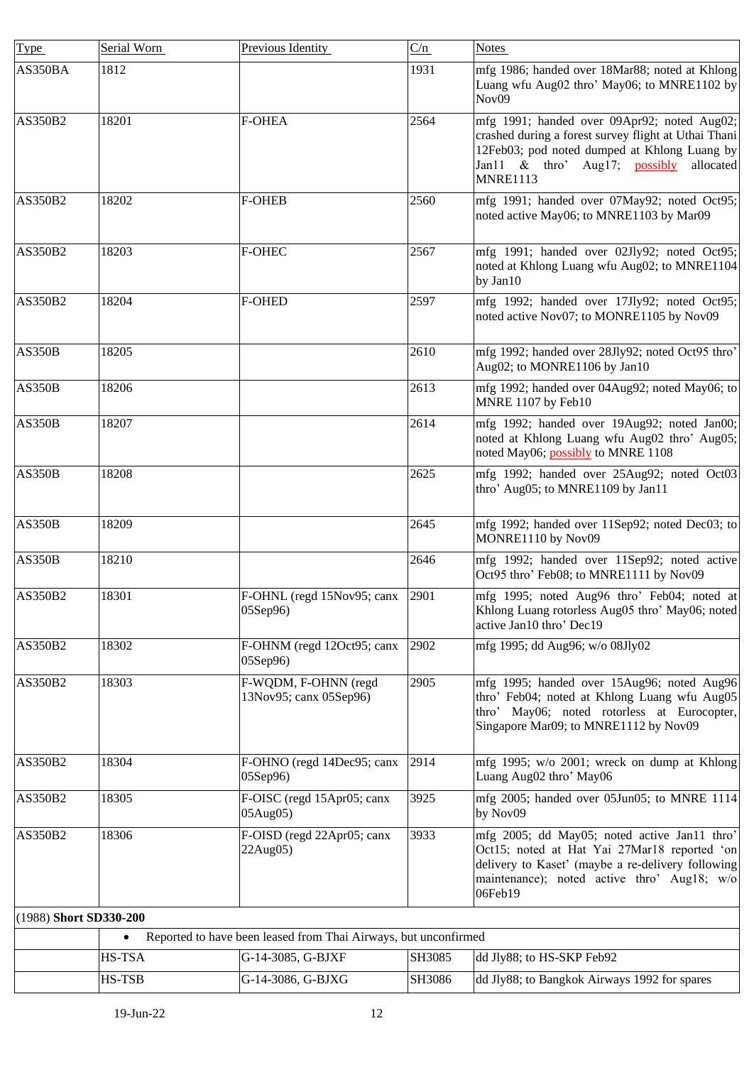<span id="page-11-0"></span>

| <b>Type</b>            | Serial Worn | Previous Identity                                               | C/n    | <b>Notes</b>                                                                                                                                                                                                         |
|------------------------|-------------|-----------------------------------------------------------------|--------|----------------------------------------------------------------------------------------------------------------------------------------------------------------------------------------------------------------------|
| AS350BA                | 1812        |                                                                 | 1931   | mfg 1986; handed over 18Mar88; noted at Khlong<br>Luang wfu Aug02 thro' May06; to MNRE1102 by<br>Nov09                                                                                                               |
| AS350B2                | 18201       | <b>F-OHEA</b>                                                   | 2564   | mfg 1991; handed over 09Apr92; noted Aug02;<br>crashed during a forest survey flight at Uthai Thani<br>12Feb03; pod noted dumped at Khlong Luang by<br>Jan11 & thro' Aug17; possibly<br>allocated<br><b>MNRE1113</b> |
| AS350B2                | 18202       | <b>F-OHEB</b>                                                   | 2560   | mfg 1991; handed over 07May92; noted Oct95;<br>noted active May06; to MNRE1103 by Mar09                                                                                                                              |
| AS350B2                | 18203       | <b>F-OHEC</b>                                                   | 2567   | mfg 1991; handed over 02Jly92; noted Oct95;<br>noted at Khlong Luang wfu Aug02; to MNRE1104<br>by Jan10                                                                                                              |
| AS350B2                | 18204       | <b>F-OHED</b>                                                   | 2597   | mfg 1992; handed over 17Jly92; noted Oct95;<br>noted active Nov07; to MONRE1105 by Nov09                                                                                                                             |
| <b>AS350B</b>          | 18205       |                                                                 | 2610   | mfg 1992; handed over 28Jly92; noted Oct95 thro'<br>Aug02; to MONRE1106 by Jan10                                                                                                                                     |
| <b>AS350B</b>          | 18206       |                                                                 | 2613   | mfg 1992; handed over 04Aug92; noted May06; to<br>MNRE 1107 by Feb10                                                                                                                                                 |
| <b>AS350B</b>          | 18207       |                                                                 | 2614   | mfg 1992; handed over 19Aug92; noted Jan00;<br>noted at Khlong Luang wfu Aug02 thro' Aug05;<br>noted May06; possibly to MNRE 1108                                                                                    |
| <b>AS350B</b>          | 18208       |                                                                 | 2625   | mfg 1992; handed over 25Aug92; noted Oct03<br>thro' Aug05; to MNRE1109 by Jan11                                                                                                                                      |
| <b>AS350B</b>          | 18209       |                                                                 | 2645   | mfg 1992; handed over 11Sep92; noted Dec03; to<br>MONRE1110 by Nov09                                                                                                                                                 |
| AS350B                 | 18210       |                                                                 | 2646   | mfg 1992; handed over 11Sep92; noted active<br>Oct95 thro' Feb08; to MNRE1111 by Nov09                                                                                                                               |
| AS350B2                | 18301       | F-OHNL (regd 15Nov95; canx<br>05Sep96)                          | 2901   | mfg 1995; noted Aug96 thro' Feb04; noted at<br>Khlong Luang rotorless Aug05 thro' May06; noted<br>active Jan10 thro' Dec19                                                                                           |
| AS350B2                | 18302       | F-OHNM (regd 12Oct95; canx<br>05Sep96)                          | 2902   | mfg 1995; dd Aug96; w/o 08Jly02                                                                                                                                                                                      |
| AS350B2                | 18303       | F-WQDM, F-OHNN (regd<br>13Nov95; canx 05Sep96)                  | 2905   | mfg 1995; handed over 15Aug96; noted Aug96<br>thro' Feb04; noted at Khlong Luang wfu Aug05<br>thro' May06; noted rotorless at Eurocopter,<br>Singapore Mar09; to MNRE1112 by Nov09                                   |
| AS350B2                | 18304       | F-OHNO (regd 14Dec95; canx<br>05Sep96)                          | 2914   | mfg 1995; w/o 2001; wreck on dump at Khlong<br>Luang Aug02 thro' May06                                                                                                                                               |
| AS350B2                | 18305       | F-OISC (regd 15Apr05; canx<br>05Aug05)                          | 3925   | mfg 2005; handed over 05Jun05; to MNRE 1114<br>by Nov09                                                                                                                                                              |
| AS350B2                | 18306       | F-OISD (regd 22Apr05; canx<br>22Aug05)                          | 3933   | mfg 2005; dd May05; noted active Jan11 thro'<br>Oct15; noted at Hat Yai 27Mar18 reported 'on<br>delivery to Kaset' (maybe a re-delivery following<br>maintenance); noted active thro' Aug18; w/o<br>06Feb19          |
| (1988) Short SD330-200 |             |                                                                 |        |                                                                                                                                                                                                                      |
|                        |             | Reported to have been leased from Thai Airways, but unconfirmed |        |                                                                                                                                                                                                                      |
|                        | HS-TSA      | G-14-3085, G-BJXF                                               | SH3085 | dd Jly88; to HS-SKP Feb92                                                                                                                                                                                            |
|                        | HS-TSB      | G-14-3086, G-BJXG                                               | SH3086 | dd Jly88; to Bangkok Airways 1992 for spares                                                                                                                                                                         |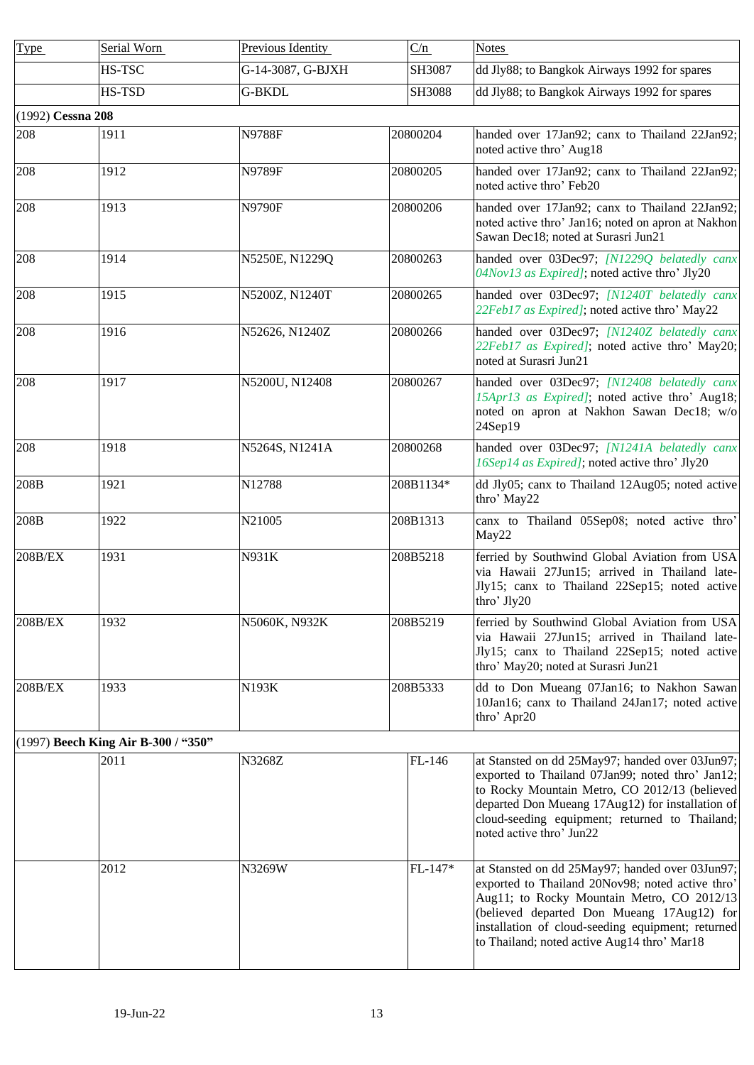<span id="page-12-1"></span><span id="page-12-0"></span>

| <b>Type</b>       | Serial Worn                         | Previous Identity | C/n       | <b>Notes</b>                                                                                                                                                                                                                                                                                        |
|-------------------|-------------------------------------|-------------------|-----------|-----------------------------------------------------------------------------------------------------------------------------------------------------------------------------------------------------------------------------------------------------------------------------------------------------|
|                   | HS-TSC                              | G-14-3087, G-BJXH | SH3087    | dd Jly88; to Bangkok Airways 1992 for spares                                                                                                                                                                                                                                                        |
|                   | HS-TSD                              | <b>G-BKDL</b>     | SH3088    | dd Jly88; to Bangkok Airways 1992 for spares                                                                                                                                                                                                                                                        |
| (1992) Cessna 208 |                                     |                   |           |                                                                                                                                                                                                                                                                                                     |
| 208               | 1911                                | <b>N9788F</b>     | 20800204  | handed over 17Jan92; canx to Thailand 22Jan92;<br>noted active thro' Aug18                                                                                                                                                                                                                          |
| 208               | 1912                                | N9789F            | 20800205  | handed over 17Jan92; canx to Thailand 22Jan92;<br>noted active thro' Feb20                                                                                                                                                                                                                          |
| 208               | 1913                                | <b>N9790F</b>     | 20800206  | handed over 17Jan92; canx to Thailand 22Jan92;<br>noted active thro' Jan16; noted on apron at Nakhon<br>Sawan Dec18; noted at Surasri Jun21                                                                                                                                                         |
| 208               | 1914                                | N5250E, N1229Q    | 20800263  | handed over 03Dec97; [N1229Q belatedly canx<br>04Nov13 as Expired]; noted active thro' Jly20                                                                                                                                                                                                        |
| 208               | 1915                                | N5200Z, N1240T    | 20800265  | handed over 03Dec97; [N1240T belatedly canx<br>22Feb17 as Expired]; noted active thro' May22                                                                                                                                                                                                        |
| 208               | 1916                                | N52626, N1240Z    | 20800266  | handed over 03Dec97; [N1240Z belatedly canx<br>22Feb17 as Expired]; noted active thro' May20;<br>noted at Surasri Jun21                                                                                                                                                                             |
| 208               | 1917                                | N5200U, N12408    | 20800267  | handed over 03Dec97; [N12408 belatedly canx<br>15Apr13 as Expired]; noted active thro' Aug18;<br>noted on apron at Nakhon Sawan Dec18; w/o<br>24Sep19                                                                                                                                               |
| 208               | 1918                                | N5264S, N1241A    | 20800268  | handed over 03Dec97; [N1241A belatedly canx<br>16Sep14 as Expired]; noted active thro' Jly20                                                                                                                                                                                                        |
| 208B              | 1921                                | N12788            | 208B1134* | dd Jly05; canx to Thailand 12Aug05; noted active<br>thro' May22                                                                                                                                                                                                                                     |
| 208B              | 1922                                | N21005            | 208B1313  | canx to Thailand 05Sep08; noted active thro'<br>May22                                                                                                                                                                                                                                               |
| 208B/EX           | 1931                                | N931K             | 208B5218  | ferried by Southwind Global Aviation from USA<br>via Hawaii 27Jun15; arrived in Thailand late-<br>Jly15; canx to Thailand 22Sep15; noted active<br>thro' Jly20                                                                                                                                      |
| 208B/EX           | 1932                                | N5060K, N932K     | 208B5219  | ferried by Southwind Global Aviation from USA<br>via Hawaii 27Jun15; arrived in Thailand late-<br>Jly15; canx to Thailand 22Sep15; noted active<br>thro' May20; noted at Surasri Jun21                                                                                                              |
| $208B/EX$         | 1933                                | N193K             | 208B5333  | dd to Don Mueang 07Jan16; to Nakhon Sawan<br>10Jan16; canx to Thailand 24Jan17; noted active<br>thro' Apr20                                                                                                                                                                                         |
|                   | (1997) Beech King Air B-300 / "350" |                   |           |                                                                                                                                                                                                                                                                                                     |
|                   | 2011                                | N3268Z            | FL-146    | at Stansted on dd 25May97; handed over 03Jun97;<br>exported to Thailand 07Jan99; noted thro' Jan12;<br>to Rocky Mountain Metro, CO 2012/13 (believed<br>departed Don Mueang 17Aug12) for installation of<br>cloud-seeding equipment; returned to Thailand;<br>noted active thro' Jun22              |
|                   | 2012                                | N3269W            | FL-147*   | at Stansted on dd 25May97; handed over 03Jun97;<br>exported to Thailand 20Nov98; noted active thro'<br>Aug11; to Rocky Mountain Metro, CO 2012/13<br>(believed departed Don Mueang 17Aug12) for<br>installation of cloud-seeding equipment; returned<br>to Thailand; noted active Aug14 thro' Mar18 |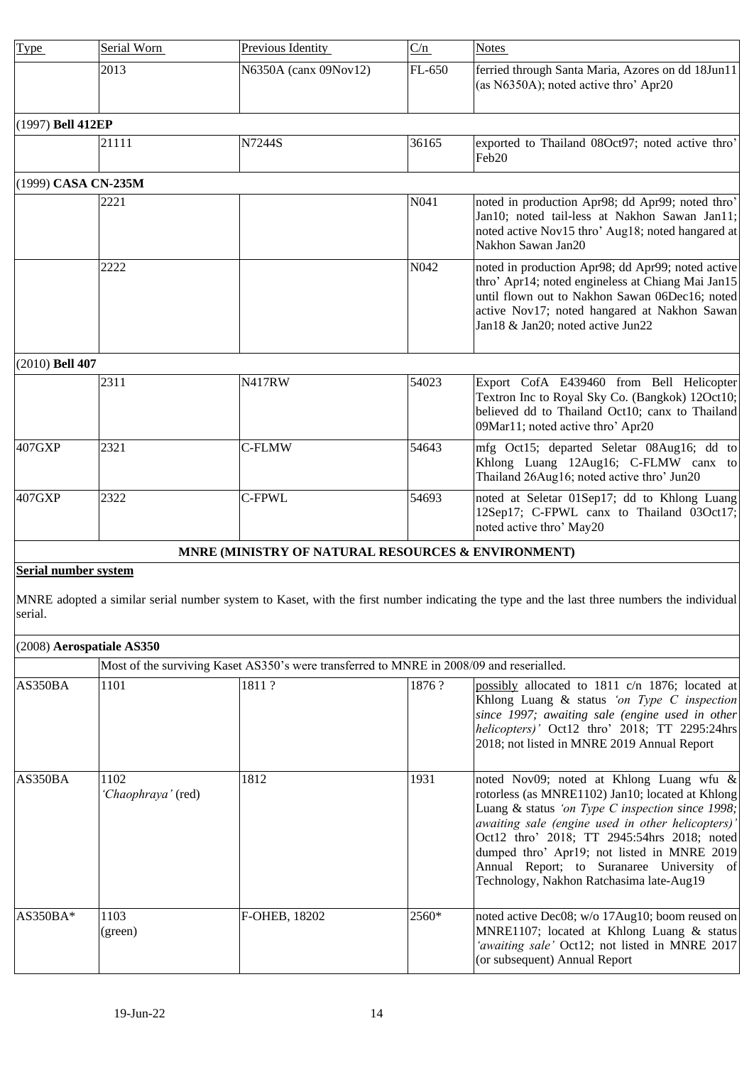<span id="page-13-1"></span><span id="page-13-0"></span>

| Type              | Serial Worn         | Previous Identity                                  | C/n    | <b>Notes</b>                                                                                                                                                                                                                                  |
|-------------------|---------------------|----------------------------------------------------|--------|-----------------------------------------------------------------------------------------------------------------------------------------------------------------------------------------------------------------------------------------------|
|                   | 2013                | N6350A (canx 09Nov12)                              | FL-650 | ferried through Santa Maria, Azores on dd 18Jun11<br>(as N6350A); noted active thro' Apr20                                                                                                                                                    |
| (1997) Bell 412EP |                     |                                                    |        |                                                                                                                                                                                                                                               |
|                   | 21111               | N7244S                                             | 36165  | exported to Thailand 08Oct97; noted active thro'<br>Feb20                                                                                                                                                                                     |
|                   | (1999) CASA CN-235M |                                                    |        |                                                                                                                                                                                                                                               |
|                   | 2221                |                                                    | N041   | noted in production Apr98; dd Apr99; noted thro'<br>Jan10; noted tail-less at Nakhon Sawan Jan11;<br>noted active Nov15 thro' Aug18; noted hangared at<br>Nakhon Sawan Jan20                                                                  |
|                   | 2222                |                                                    | N042   | noted in production Apr98; dd Apr99; noted active<br>thro' Apr14; noted engineless at Chiang Mai Jan15<br>until flown out to Nakhon Sawan 06Dec16; noted<br>active Nov17; noted hangared at Nakhon Sawan<br>Jan18 & Jan20; noted active Jun22 |
| (2010) Bell 407   |                     |                                                    |        |                                                                                                                                                                                                                                               |
|                   | 2311                | <b>N417RW</b>                                      | 54023  | Export CofA E439460 from Bell Helicopter<br>Textron Inc to Royal Sky Co. (Bangkok) 12Oct10;<br>believed dd to Thailand Oct10; canx to Thailand<br>09Mar11; noted active thro' Apr20                                                           |
| 407GXP            | 2321                | C-FLMW                                             | 54643  | mfg Oct15; departed Seletar 08Aug16; dd to<br>Khlong Luang 12Aug16; C-FLMW canx to<br>Thailand 26Aug16; noted active thro' Jun20                                                                                                              |
| 407GXP            | 2322                | <b>C-FPWL</b>                                      | 54693  | noted at Seletar 01Sep17; dd to Khlong Luang<br>12Sep17; C-FPWL canx to Thailand 03Oct17;<br>noted active thro' May20                                                                                                                         |
|                   |                     | MNRE (MINISTRY OF NATURAL RESOURCES & ENVIRONMENT) |        |                                                                                                                                                                                                                                               |

# <span id="page-13-4"></span><span id="page-13-3"></span><span id="page-13-2"></span>**Serial number system**

MNRE adopted a similar serial number system to Kaset, with the first number indicating the type and the last three numbers the individual serial.

<span id="page-13-5"></span>

| (2008) Aerospatiale AS350 |                                                                                          |               |         |                                                                                                                                                                                                                                                                                                                                                                                              |  |
|---------------------------|------------------------------------------------------------------------------------------|---------------|---------|----------------------------------------------------------------------------------------------------------------------------------------------------------------------------------------------------------------------------------------------------------------------------------------------------------------------------------------------------------------------------------------------|--|
|                           | Most of the surviving Kaset AS350's were transferred to MNRE in 2008/09 and reserialled. |               |         |                                                                                                                                                                                                                                                                                                                                                                                              |  |
| AS350BA                   | 1101                                                                                     | 1811?         | 1876?   | possibly allocated to 1811 c/n 1876; located at<br>Khlong Luang & status 'on Type C inspection<br>since 1997; awaiting sale (engine used in other<br>helicopters)' Oct12 thro' 2018; TT 2295:24hrs<br>2018; not listed in MNRE 2019 Annual Report                                                                                                                                            |  |
| AS350BA                   | 1102<br>'Chaophraya' (red)                                                               | 1812          | 1931    | noted Nov09; noted at Khlong Luang wfu &<br>rotorless (as MNRE1102) Jan10; located at Khlong<br>Luang & status 'on Type C inspection since 1998;<br>awaiting sale (engine used in other helicopters)'<br>Oct12 thro' 2018; TT 2945:54hrs 2018; noted<br>dumped thro' Apr19; not listed in MNRE 2019<br>Annual Report; to Suranaree University of<br>Technology, Nakhon Ratchasima late-Aug19 |  |
| $AS350BA*$                | 1103<br>(green)                                                                          | F-OHEB, 18202 | $2560*$ | noted active Dec08; w/o 17Aug10; boom reused on<br>MNRE1107; located at Khlong Luang & status<br>'awaiting sale' Oct12; not listed in MNRE 2017<br>(or subsequent) Annual Report                                                                                                                                                                                                             |  |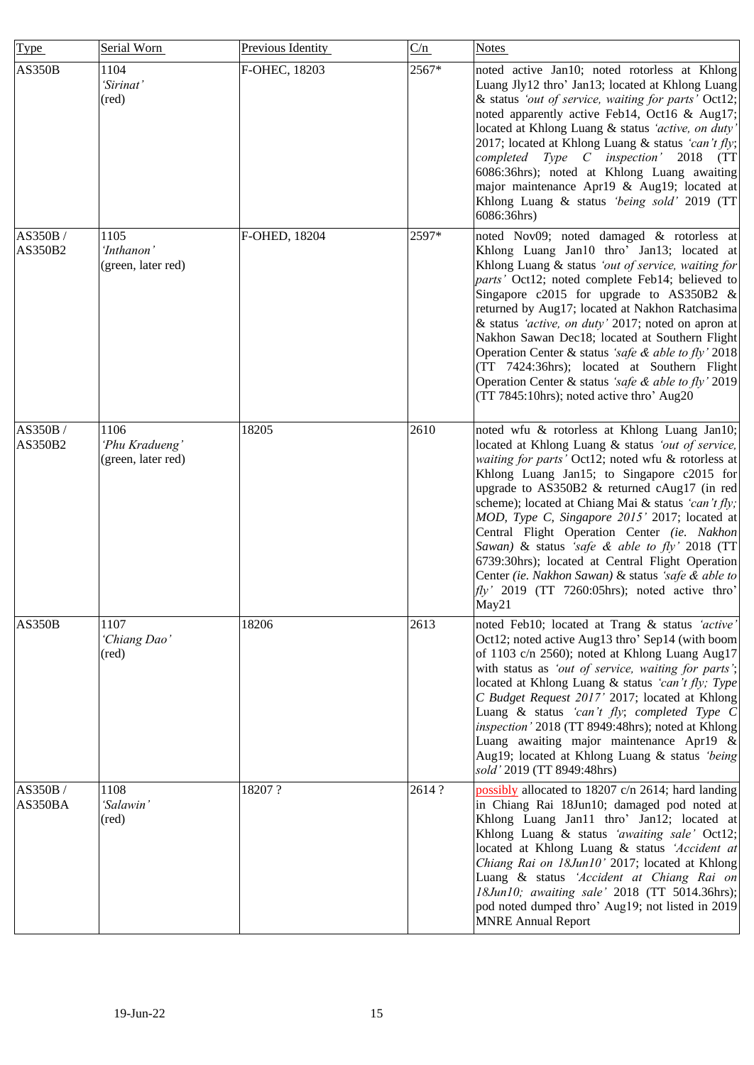| Type                | Serial Worn                                  | Previous Identity | C/n   | <b>Notes</b>                                                                                                                                                                                                                                                                                                                                                                                                                                                                                                                                                                                                                        |
|---------------------|----------------------------------------------|-------------------|-------|-------------------------------------------------------------------------------------------------------------------------------------------------------------------------------------------------------------------------------------------------------------------------------------------------------------------------------------------------------------------------------------------------------------------------------------------------------------------------------------------------------------------------------------------------------------------------------------------------------------------------------------|
| <b>AS350B</b>       | 1104<br>'Sirinat'<br>(red)                   | F-OHEC, 18203     | 2567* | noted active Jan10; noted rotorless at Khlong<br>Luang Jly12 thro' Jan13; located at Khlong Luang<br>& status 'out of service, waiting for parts' Oct12;<br>noted apparently active Feb14, Oct16 & Aug17;<br>located at Khlong Luang & status 'active, on duty'<br>2017; located at Khlong Luang & status 'can't fly;<br>completed Type C inspection' 2018 (TT<br>6086:36hrs); noted at Khlong Luang awaiting<br>major maintenance Apr19 & Aug19; located at<br>Khlong Luang & status 'being sold' 2019 (TT<br>6086:36hrs)                                                                                                          |
| AS350B /<br>AS350B2 | 1105<br>'Inthanon'<br>(green, later red)     | F-OHED, 18204     | 2597* | noted Nov09; noted damaged & rotorless at<br>Khlong Luang Jan10 thro' Jan13; located at<br>Khlong Luang & status 'out of service, waiting for<br>parts' Oct12; noted complete Feb14; believed to<br>Singapore c2015 for upgrade to AS350B2 $\&$<br>returned by Aug17; located at Nakhon Ratchasima<br>& status 'active, on duty' 2017; noted on apron at<br>Nakhon Sawan Dec18; located at Southern Flight<br>Operation Center & status 'safe & able to fly' 2018<br>(TT 7424:36hrs); located at Southern Flight<br>Operation Center & status 'safe & able to fly' 2019<br>(TT 7845:10hrs); noted active thro' Aug20                |
| AS350B/<br>AS350B2  | 1106<br>'Phu Kradueng'<br>(green, later red) | 18205             | 2610  | noted wfu & rotorless at Khlong Luang Jan10;<br>located at Khlong Luang & status 'out of service,<br>waiting for parts' Oct12; noted wfu & rotorless at<br>Khlong Luang Jan15; to Singapore c2015 for<br>upgrade to AS350B2 & returned cAug17 (in red<br>scheme); located at Chiang Mai & status 'can't fly;<br>MOD, Type C, Singapore 2015' 2017; located at<br>Central Flight Operation Center (ie. Nakhon<br>Sawan) & status 'safe & able to fly' 2018 (TT<br>6739:30hrs); located at Central Flight Operation<br>Center (ie. Nakhon Sawan) & status 'safe & able to<br>$fly'$ 2019 (TT 7260:05hrs); noted active thro'<br>May21 |
| <b>AS350B</b>       | 1107<br>'Chiang Dao'<br>$(\text{red})$       | 18206             | 2613  | noted Feb10; located at Trang & status 'active'<br>Oct12; noted active Aug13 thro' Sep14 (with boom<br>of 1103 c/n 2560); noted at Khlong Luang Aug17<br>with status as 'out of service, waiting for parts';<br>located at Khlong Luang & status 'can't fly; Type<br>C Budget Request 2017' 2017; located at Khlong<br>Luang & status 'can't fly; completed Type C<br>inspection' 2018 (TT 8949:48hrs); noted at Khlong<br>Luang awaiting major maintenance Apr19 &<br>Aug19; located at Khlong Luang & status 'being'<br>sold' 2019 (TT 8949:48hrs)                                                                                |
| AS350B /<br>AS350BA | 1108<br>'Salawin'<br>(red)                   | 18207?            | 2614? | possibly allocated to 18207 c/n 2614; hard landing<br>in Chiang Rai 18Jun10; damaged pod noted at<br>Khlong Luang Jan11 thro' Jan12; located at<br>Khlong Luang & status 'awaiting sale' Oct12;<br>located at Khlong Luang & status 'Accident at<br>Chiang Rai on 18Jun10' 2017; located at Khlong<br>Luang & status 'Accident at Chiang Rai on<br>18Jun10; awaiting sale' 2018 (TT 5014.36hrs);<br>pod noted dumped thro' Aug19; not listed in 2019<br><b>MNRE Annual Report</b>                                                                                                                                                   |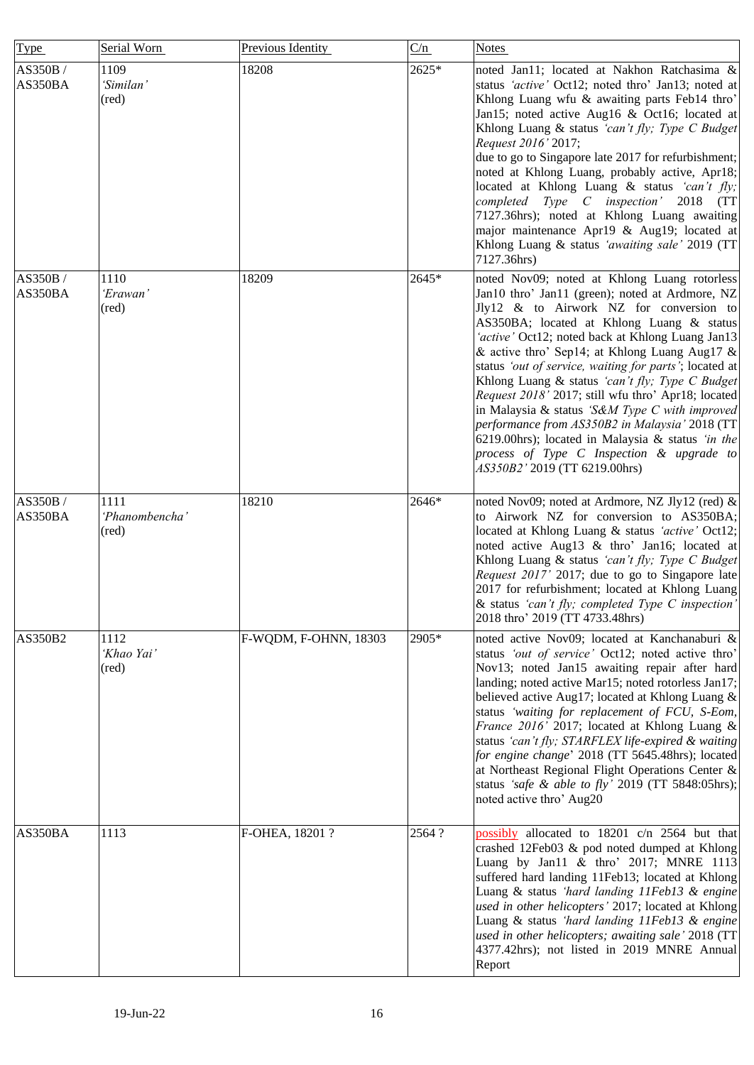| Type               | Serial Worn                     | Previous Identity     | C/n    | <b>Notes</b>                                                                                                                                                                                                                                                                                                                                                                                                                                                                                                                                                                                                                                                                                           |
|--------------------|---------------------------------|-----------------------|--------|--------------------------------------------------------------------------------------------------------------------------------------------------------------------------------------------------------------------------------------------------------------------------------------------------------------------------------------------------------------------------------------------------------------------------------------------------------------------------------------------------------------------------------------------------------------------------------------------------------------------------------------------------------------------------------------------------------|
| AS350B/<br>AS350BA | 1109<br>'Similan'<br>(red)      | 18208                 | 2625*  | noted Jan11; located at Nakhon Ratchasima &<br>status 'active' Oct12; noted thro' Jan13; noted at<br>Khlong Luang wfu & awaiting parts Feb14 thro'<br>Jan15; noted active Aug16 & Oct16; located at<br>Khlong Luang & status 'can't fly; Type C Budget<br>Request 2016' 2017;<br>due to go to Singapore late 2017 for refurbishment;<br>noted at Khlong Luang, probably active, Apr18;<br>located at Khlong Luang & status 'can't fly;<br>completed Type C inspection' 2018 (TT<br>7127.36hrs); noted at Khlong Luang awaiting<br>major maintenance Apr19 & Aug19; located at<br>Khlong Luang & status 'awaiting sale' 2019 (TT<br>7127.36hrs)                                                         |
| AS350B/<br>AS350BA | 1110<br>'Erawan'<br>(red)       | 18209                 | 2645*  | noted Nov09; noted at Khlong Luang rotorless<br>Jan10 thro' Jan11 (green); noted at Ardmore, NZ<br>Jly12 & to Airwork NZ for conversion to<br>AS350BA; located at Khlong Luang & status<br>'active' Oct12; noted back at Khlong Luang Jan13<br>& active thro' Sep14; at Khlong Luang Aug17 &<br>status 'out of service, waiting for parts'; located at<br>Khlong Luang & status 'can't fly; Type C Budget<br>Request 2018' 2017; still wfu thro' Apr18; located<br>in Malaysia & status 'S&M Type C with improved<br>performance from AS350B2 in Malaysia' 2018 (TT<br>6219.00hrs); located in Malaysia & status 'in the<br>process of Type C Inspection & upgrade to<br>AS350B2' 2019 (TT 6219.00hrs) |
| AS350B/<br>AS350BA | 1111<br>'Phanombencha'<br>(red) | 18210                 | 2646*  | noted Nov09; noted at Ardmore, NZ Jly12 (red) &<br>to Airwork NZ for conversion to AS350BA;<br>located at Khlong Luang & status 'active' Oct12;<br>noted active Aug13 & thro' Jan16; located at<br>Khlong Luang & status 'can't fly; Type C Budget<br>Request 2017' 2017; due to go to Singapore late<br>2017 for refurbishment; located at Khlong Luang<br>& status 'can't fly; completed Type C inspection'<br>2018 thro' 2019 (TT 4733.48hrs)                                                                                                                                                                                                                                                       |
| AS350B2            | 1112<br>'Khao Yai'<br>(red)     | F-WQDM, F-OHNN, 18303 | 2905*  | noted active Nov09; located at Kanchanaburi &<br>status 'out of service' Oct12; noted active thro'<br>Nov13; noted Jan15 awaiting repair after hard<br>landing; noted active Mar15; noted rotorless Jan17;<br>believed active Aug17; located at Khlong Luang &<br>status 'waiting for replacement of FCU, S-Eom,<br>France 2016' 2017; located at Khlong Luang &<br>status 'can't fly; STARFLEX life-expired & waiting<br>for engine change' 2018 (TT 5645.48hrs); located<br>at Northeast Regional Flight Operations Center &<br>status 'safe & able to fly' 2019 (TT 5848:05hrs);<br>noted active thro' Aug20                                                                                        |
| AS350BA            | 1113                            | F-OHEA, 18201 ?       | 2564 ? | possibly allocated to 18201 c/n 2564 but that<br>crashed 12Feb03 & pod noted dumped at Khlong<br>Luang by Jan11 & thro' 2017; MNRE 1113<br>suffered hard landing 11Feb13; located at Khlong<br>Luang & status 'hard landing 11Feb13 & engine<br>used in other helicopters' 2017; located at Khlong<br>Luang & status 'hard landing 11Feb13 & engine<br>used in other helicopters; awaiting sale' 2018 (TT<br>4377.42hrs); not listed in 2019 MNRE Annual<br>Report                                                                                                                                                                                                                                     |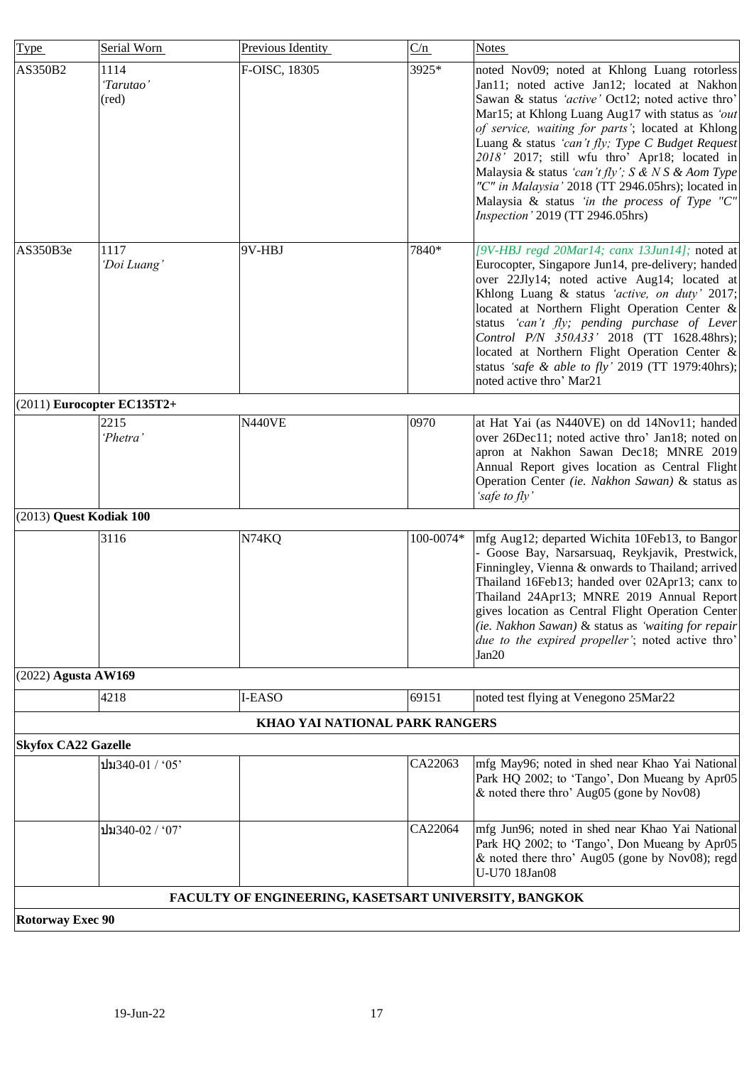<span id="page-16-5"></span><span id="page-16-4"></span><span id="page-16-3"></span><span id="page-16-2"></span><span id="page-16-1"></span><span id="page-16-0"></span>

| <b>Type</b>                | Serial Worn                  | Previous Identity                                     | C/n       | <b>Notes</b>                                                                                                                                                                                                                                                                                                                                                                                                                                                                                                                                                       |
|----------------------------|------------------------------|-------------------------------------------------------|-----------|--------------------------------------------------------------------------------------------------------------------------------------------------------------------------------------------------------------------------------------------------------------------------------------------------------------------------------------------------------------------------------------------------------------------------------------------------------------------------------------------------------------------------------------------------------------------|
| AS350B2                    | 1114<br>'Tarutao'<br>(red)   | F-OISC, 18305                                         | 3925*     | noted Nov09; noted at Khlong Luang rotorless<br>Jan11; noted active Jan12; located at Nakhon<br>Sawan & status 'active' Oct12; noted active thro'<br>Mar15; at Khlong Luang Aug17 with status as 'out<br>of service, waiting for parts'; located at Khlong<br>Luang & status 'can't fly; Type C Budget Request<br>2018' 2017; still wfu thro' Apr18; located in<br>Malaysia & status 'can't fly'; $S \& N S \& Aom Type$<br>"C" in Malaysia' 2018 (TT 2946.05hrs); located in<br>Malaysia & status 'in the process of Type "C"<br>Inspection' 2019 (TT 2946.05hrs) |
| AS350B3e                   | 1117<br>'Doi Luang'          | 9V-HBJ                                                | 7840*     | [9V-HBJ regd 20Mar14; canx 13Jun14]; noted at<br>Eurocopter, Singapore Jun14, pre-delivery; handed<br>over 22Jly14; noted active Aug14; located at<br>Khlong Luang & status 'active, on duty' 2017;<br>located at Northern Flight Operation Center &<br>status 'can't fly; pending purchase of Lever<br>Control P/N 350A33' 2018 (TT 1628.48hrs);<br>located at Northern Flight Operation Center &<br>status 'safe & able to fly' 2019 (TT 1979:40hrs);<br>noted active thro' Mar21                                                                                |
|                            | $(2011)$ Eurocopter EC135T2+ |                                                       |           |                                                                                                                                                                                                                                                                                                                                                                                                                                                                                                                                                                    |
|                            | 2215<br>'Phetra'             | <b>N440VE</b>                                         | 0970      | at Hat Yai (as N440VE) on dd 14Nov11; handed<br>over 26Dec11; noted active thro' Jan18; noted on<br>apron at Nakhon Sawan Dec18; MNRE 2019<br>Annual Report gives location as Central Flight<br>Operation Center (ie. Nakhon Sawan) & status as<br>'safe to fly'                                                                                                                                                                                                                                                                                                   |
| (2013) Quest Kodiak 100    |                              |                                                       |           |                                                                                                                                                                                                                                                                                                                                                                                                                                                                                                                                                                    |
|                            | 3116                         | N74KQ                                                 | 100-0074* | mfg Aug12; departed Wichita 10Feb13, to Bangor<br>- Goose Bay, Narsarsuaq, Reykjavik, Prestwick,<br>Finningley, Vienna & onwards to Thailand; arrived<br>Thailand 16Feb13; handed over 02Apr13; canx to<br>Thailand 24Apr13; MNRE 2019 Annual Report<br>gives location as Central Flight Operation Center<br>(ie. Nakhon Sawan) & status as 'waiting for repair<br>due to the expired propeller'; noted active thro'<br>Jan20                                                                                                                                      |
| (2022) Agusta AW169        |                              |                                                       |           |                                                                                                                                                                                                                                                                                                                                                                                                                                                                                                                                                                    |
|                            | 4218                         | I-EASO                                                | 69151     | noted test flying at Venegono 25Mar22                                                                                                                                                                                                                                                                                                                                                                                                                                                                                                                              |
|                            |                              | KHAO YAI NATIONAL PARK RANGERS                        |           |                                                                                                                                                                                                                                                                                                                                                                                                                                                                                                                                                                    |
| <b>Skyfox CA22 Gazelle</b> |                              |                                                       |           |                                                                                                                                                                                                                                                                                                                                                                                                                                                                                                                                                                    |
|                            | ปม340-01 / '05'              |                                                       | CA22063   | mfg May96; noted in shed near Khao Yai National<br>Park HQ 2002; to 'Tango', Don Mueang by Apr05<br>& noted there thro' Aug05 (gone by Nov08)                                                                                                                                                                                                                                                                                                                                                                                                                      |
|                            | ปม340-02 / '07'              |                                                       | CA22064   | mfg Jun96; noted in shed near Khao Yai National<br>Park HQ 2002; to 'Tango', Don Mueang by Apr05<br>& noted there thro' Aug05 (gone by Nov08); regd<br>U-U70 18Jan08                                                                                                                                                                                                                                                                                                                                                                                               |
|                            |                              | FACULTY OF ENGINEERING, KASETSART UNIVERSITY, BANGKOK |           |                                                                                                                                                                                                                                                                                                                                                                                                                                                                                                                                                                    |
| <b>Rotorway Exec 90</b>    |                              |                                                       |           |                                                                                                                                                                                                                                                                                                                                                                                                                                                                                                                                                                    |